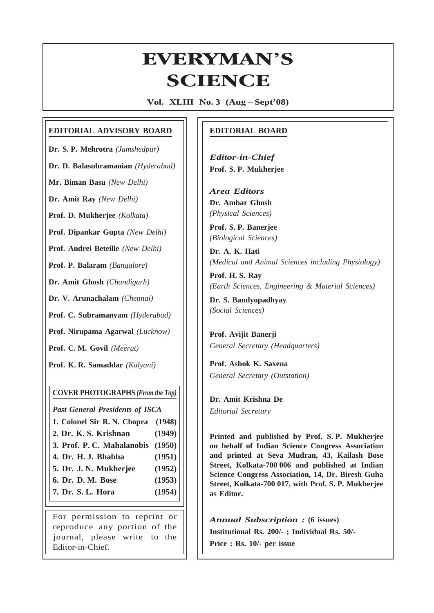# **EVERYMAN'S ERYMAN<br>SCIENCE**

**Vol. XLIII No. 3 (Aug – Sept'08)**

# **EDITORIAL ADVISORY BOARD**

**Dr. S. P. Mehrotra** *(Jamshedpur)*

**Dr. D. Balasubramanian** *(Hyderabad)*

**Mr. Biman Basu** *(New Delhi)*

**Dr. Amit Ray** *(New Delhi)*

**Prof. D. Mukherjee** *(Kolkata)*

**Prof. Dipankar Gupta** *(New Delhi)*

**Prof. Andrei Beteille** *(New Delhi)*

**Prof. P. Balaram** *(Bangalore)*

**Dr. Amit Ghosh** *(Chandigarh)*

**Dr. V. Arunachalam** *(Chennai)*

**Prof. C. Subramanyam** *(Hyderabad)*

**Prof. Nirupama Agarwal** *(Lucknow)*

**Prof. C. M. Govil** *(Meerut)*

**Prof. K. R. Samaddar** *(Kalyani)*

# **COVER PHOTOGRAPHS** *(From the Top)*

*Past General Presidents of ISCA*

- **1. Colonel Sir R. N. Chopra (1948)**
- **2. Dr. K. S. Krishnan (1949)**
- **3. Prof. P. C. Mahalanobis (1950)**
- **4. Dr. H. J. Bhabha (1951)**
- **5. Dr. J. N. Mukherjee (1952)**
- **6. Dr. D. M. Bose (1953)**
- **7. Dr. S. L. Hora (1954)**

For permission to reprint or reproduce any portion of the journal, please write to the Editor-in-Chief.

# **EDITORIAL BOARD**

*Editor-in-Chief* **Prof. S. P. Mukherjee**

*Area Editors* **Dr. Ambar Ghosh** *(Physical Sciences)*

**Prof. S. P. Banerjee** *(Biological Sciences)*

**Dr. A. K. Hati** *(Medical and Animal Sciences including Physiology)*

**Prof. H. S. Ray** *(Earth Sciences, Engineering & Material Sciences)*

**Dr. S. Bandyopadhyay** *(Social Sciences)*

**Prof. Avijit Banerji** *General Secretary (Headquarters)*

**Prof. Ashok K. Saxena** *General Secretary (Outstation)*

**Dr. Amit Krishna De** *Editorial Secretary*

145

**Printed and published by Prof. S. P. Mukherjee on behalf of Indian Science Congress Association and printed at Seva Mudran, 43, Kailash Bose Street, Kolkata-700 006 and published at Indian Science Congress Association, 14, Dr. Biresh Guha Street, Kolkata-700 017, with Prof. S. P. Mukherjee as Editor.**

*Annual Subscription :* **(6 issues) Institutional Rs. 200/- ; Individual Rs. 50/- Price : Rs. 10/- per issue**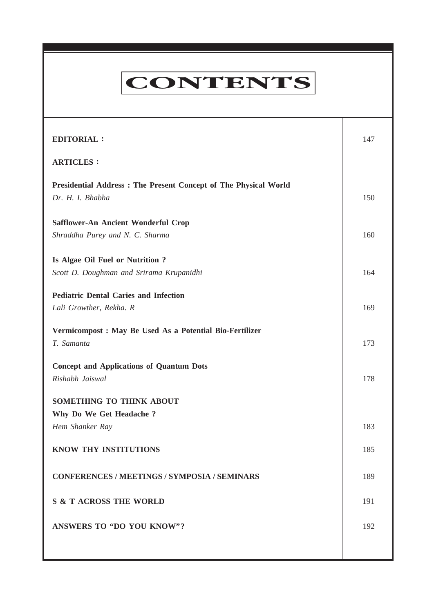# **CONTENTS**

**Everyman's Science VOL. XLIII NO. 3, Aug — Sept '08**

| <b>EDITORIAL:</b>                                                                   | 147 |
|-------------------------------------------------------------------------------------|-----|
| <b>ARTICLES:</b>                                                                    |     |
| Presidential Address: The Present Concept of The Physical World<br>Dr. H. I. Bhabha | 150 |
| Safflower-An Ancient Wonderful Crop                                                 |     |
| Shraddha Purey and N. C. Sharma                                                     | 160 |
| Is Algae Oil Fuel or Nutrition?                                                     |     |
| Scott D. Doughman and Srirama Krupanidhi                                            | 164 |
| <b>Pediatric Dental Caries and Infection</b>                                        |     |
| Lali Growther, Rekha. R                                                             | 169 |
| Vermicompost : May Be Used As a Potential Bio-Fertilizer<br>T. Samanta              | 173 |
| <b>Concept and Applications of Quantum Dots</b><br>Rishabh Jaiswal                  | 178 |
| SOMETHING TO THINK ABOUT                                                            |     |
| Why Do We Get Headache?                                                             |     |
| Hem Shanker Ray                                                                     | 183 |
| KNOW THY INSTITUTIONS                                                               | 185 |
| <b>CONFERENCES / MEETINGS / SYMPOSIA / SEMINARS</b>                                 | 189 |
| <b>S &amp; T ACROSS THE WORLD</b>                                                   | 191 |
| ANSWERS TO "DO YOU KNOW"?                                                           | 192 |
|                                                                                     |     |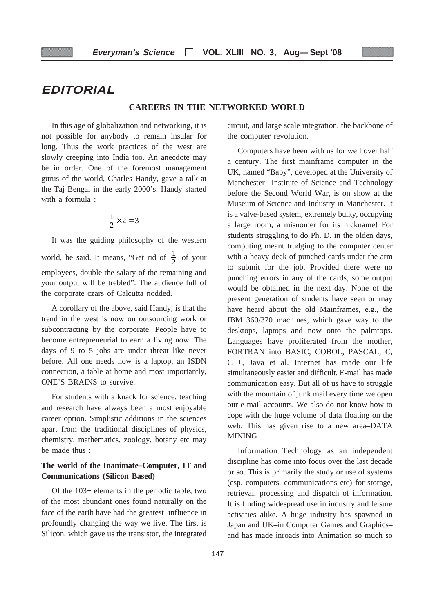# **EDITORIAL**

# **CAREERS IN THE NETWORKED WORLD**

In this age of globalization and networking, it is not possible for anybody to remain insular for long. Thus the work practices of the west are slowly creeping into India too. An anecdote may be in order. One of the foremost management gurus of the world, Charles Handy, gave a talk at the Taj Bengal in the early 2000's. Handy started with a formula :

$$
\frac{1}{2} \times 2 = 3
$$

It was the guiding philosophy of the western world, he said. It means, "Get rid of  $\frac{1}{2}$  of your employees, double the salary of the remaining and your output will be trebled". The audience full of the corporate czars of Calcutta nodded.

A corollary of the above, said Handy, is that the trend in the west is now on outsourcing work or subcontracting by the corporate. People have to become entrepreneurial to earn a living now. The days of 9 to 5 jobs are under threat like never before. All one needs now is a laptop, an ISDN connection, a table at home and most importantly, ONE'S BRAINS to survive.

For students with a knack for science, teaching and research have always been a most enjoyable career option. Simplistic additions in the sciences apart from the traditional disciplines of physics, chemistry, mathematics, zoology, botany etc may be made thus :

# **The world of the Inanimate–Computer, IT and Communications (Silicon Based)**

Of the 103+ elements in the periodic table, two of the most abundant ones found naturally on the face of the earth have had the greatest influence in profoundly changing the way we live. The first is Silicon, which gave us the transistor, the integrated circuit, and large scale integration, the backbone of the computer revolution.

Computers have been with us for well over half a century. The first mainframe computer in the UK, named "Baby", developed at the University of Manchester Institute of Science and Technology before the Second World War, is on show at the Museum of Science and Industry in Manchester. It is a valve-based system, extremely bulky, occupying a large room, a misnomer for its nickname! For students struggling to do Ph. D. in the olden days, computing meant trudging to the computer center with a heavy deck of punched cards under the arm to submit for the job. Provided there were no punching errors in any of the cards, some output would be obtained in the next day. None of the present generation of students have seen or may have heard about the old Mainframes, e.g., the IBM 360/370 machines, which gave way to the desktops, laptops and now onto the palmtops. Languages have proliferated from the mother, FORTRAN into BASIC, COBOL, PASCAL, C, C++, Java et al. Internet has made our life simultaneously easier and difficult. E-mail has made communication easy. But all of us have to struggle with the mountain of junk mail every time we open our e-mail accounts. We also do not know how to cope with the huge volume of data floating on the web. This has given rise to a new area–DATA MINING.

Information Technology as an independent discipline has come into focus over the last decade or so. This is primarily the study or use of systems (esp. computers, communications etc) for storage, retrieval, processing and dispatch of information. It is finding widespread use in industry and leisure activities alike. A huge industry has spawned in Japan and UK–in Computer Games and Graphics– and has made inroads into Animation so much so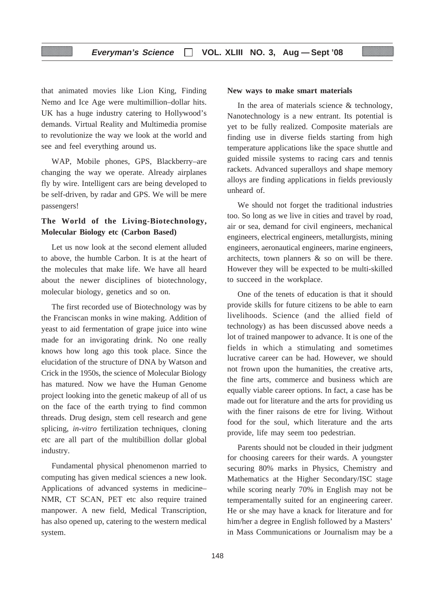that animated movies like Lion King, Finding Nemo and Ice Age were multimillion–dollar hits. UK has a huge industry catering to Hollywood's demands. Virtual Reality and Multimedia promise to revolutionize the way we look at the world and see and feel everything around us.

WAP, Mobile phones, GPS, Blackberry–are changing the way we operate. Already airplanes fly by wire. Intelligent cars are being developed to be self-driven, by radar and GPS. We will be mere passengers!

# **The World of the Living-Biotechnology, Molecular Biology etc (Carbon Based)**

Let us now look at the second element alluded to above, the humble Carbon. It is at the heart of the molecules that make life. We have all heard about the newer disciplines of biotechnology, molecular biology, genetics and so on.

The first recorded use of Biotechnology was by the Franciscan monks in wine making. Addition of yeast to aid fermentation of grape juice into wine made for an invigorating drink. No one really knows how long ago this took place. Since the elucidation of the structure of DNA by Watson and Crick in the 1950s, the science of Molecular Biology has matured. Now we have the Human Genome project looking into the genetic makeup of all of us on the face of the earth trying to find common threads. Drug design, stem cell research and gene splicing, *in-vitro* fertilization techniques, cloning etc are all part of the multibillion dollar global industry.

Fundamental physical phenomenon married to computing has given medical sciences a new look. Applications of advanced systems in medicine– NMR, CT SCAN, PET etc also require trained manpower. A new field, Medical Transcription, has also opened up, catering to the western medical system.

#### **New ways to make smart materials**

In the area of materials science & technology, Nanotechnology is a new entrant. Its potential is yet to be fully realized. Composite materials are finding use in diverse fields starting from high temperature applications like the space shuttle and guided missile systems to racing cars and tennis rackets. Advanced superalloys and shape memory alloys are finding applications in fields previously unheard of.

We should not forget the traditional industries too. So long as we live in cities and travel by road, air or sea, demand for civil engineers, mechanical engineers, electrical engineers, metallurgists, mining engineers, aeronautical engineers, marine engineers, architects, town planners & so on will be there. However they will be expected to be multi-skilled to succeed in the workplace.

One of the tenets of education is that it should provide skills for future citizens to be able to earn livelihoods. Science (and the allied field of technology) as has been discussed above needs a lot of trained manpower to advance. It is one of the fields in which a stimulating and sometimes lucrative career can be had. However, we should not frown upon the humanities, the creative arts, the fine arts, commerce and business which are equally viable career options. In fact, a case has be made out for literature and the arts for providing us with the finer raisons de etre for living. Without food for the soul, which literature and the arts provide, life may seem too pedestrian.

Parents should not be clouded in their judgment for choosing careers for their wards. A youngster securing 80% marks in Physics, Chemistry and Mathematics at the Higher Secondary/ISC stage while scoring nearly 70% in English may not be temperamentally suited for an engineering career. He or she may have a knack for literature and for him/her a degree in English followed by a Masters' in Mass Communications or Journalism may be a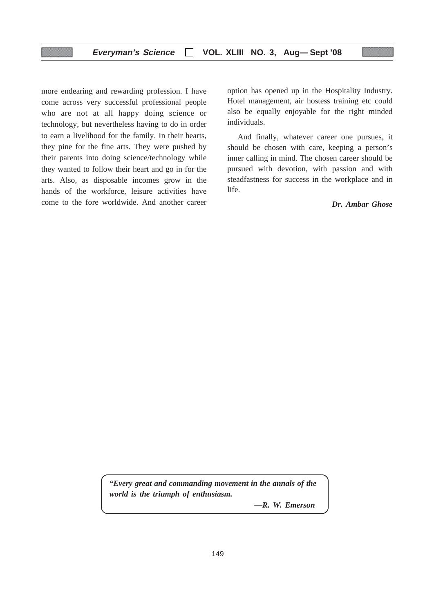more endearing and rewarding profession. I have come across very successful professional people who are not at all happy doing science or technology, but nevertheless having to do in order to earn a livelihood for the family. In their hearts, they pine for the fine arts. They were pushed by their parents into doing science/technology while they wanted to follow their heart and go in for the arts. Also, as disposable incomes grow in the hands of the workforce, leisure activities have come to the fore worldwide. And another career option has opened up in the Hospitality Industry. Hotel management, air hostess training etc could also be equally enjoyable for the right minded individuals.

And finally, whatever career one pursues, it should be chosen with care, keeping a person's inner calling in mind. The chosen career should be pursued with devotion, with passion and with steadfastness for success in the workplace and in life.

*Dr. Ambar Ghose*

*"Every great and commanding movement in the annals of the world is the triumph of enthusiasm.*

*—R. W. Emerson*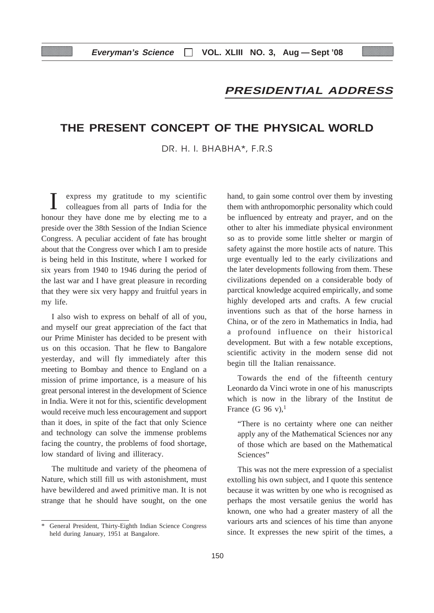# **PRESIDENTIAL ADDRESS**

# **THE PRESENT CONCEPT OF THE PHYSICAL WORLD**

DR. H. I. BHABHA\*, F.R.S

I express my gratitude to my scientific colleagues from all parts of India for the honour they have done me by electing me to a preside over the 38th Session of the Indian Science Congress. A peculiar accident of fate has brought about that the Congress over which I am to preside is being held in this Institute, where I worked for six years from 1940 to 1946 during the period of the last war and I have great pleasure in recording that they were six very happy and fruitful years in my life.

I also wish to express on behalf of all of you, and myself our great appreciation of the fact that our Prime Minister has decided to be present with us on this occasion. That he flew to Bangalore yesterday, and will fly immediately after this meeting to Bombay and thence to England on a mission of prime importance, is a measure of his great personal interest in the development of Science in India. Were it not for this, scientific development would receive much less encouragement and support than it does, in spite of the fact that only Science and technology can solve the immense problems facing the country, the problems of food shortage, low standard of living and illiteracy.

The multitude and variety of the pheomena of Nature, which still fill us with astonishment, must have bewildered and awed primitive man. It is not strange that he should have sought, on the one

hand, to gain some control over them by investing them with anthropomorphic personality which could be influenced by entreaty and prayer, and on the other to alter his immediate physical environment so as to provide some little shelter or margin of safety against the more hostile acts of nature. This urge eventually led to the early civilizations and the later developments following from them. These civilizations depended on a considerable body of parctical knowledge acquired empirically, and some highly developed arts and crafts. A few crucial inventions such as that of the horse harness in China, or of the zero in Mathematics in India, had a profound influence on their historical development. But with a few notable exceptions, scientific activity in the modern sense did not begin till the Italian renaissance.

Towards the end of the fifteenth century Leonardo da Vinci wrote in one of his manuscripts which is now in the library of the Institut de France (G 96 v), $<sup>1</sup>$ </sup>

"There is no certainty where one can neither apply any of the Mathematical Sciences nor any of those which are based on the Mathematical Sciences"

This was not the mere expression of a specialist extolling his own subject, and I quote this sentence because it was written by one who is recognised as perhaps the most versatile genius the world has known, one who had a greater mastery of all the variours arts and sciences of his time than anyone since. It expresses the new spirit of the times, a

<sup>\*</sup> General President, Thirty-Eighth Indian Science Congress held during January, 1951 at Bangalore.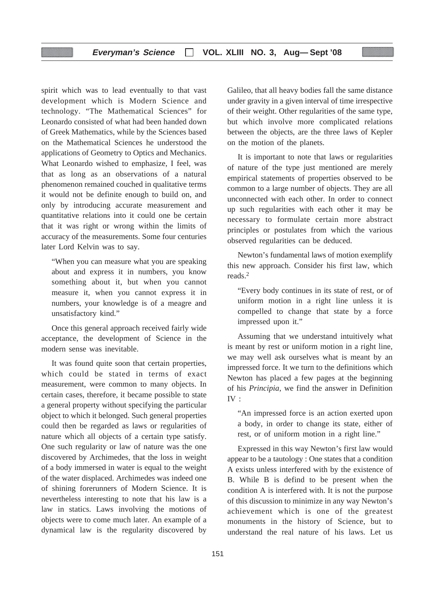# **Everyman's Science VOL. XLIII NO. 3, Aug— Sept '08**

spirit which was to lead eventually to that vast development which is Modern Science and technology. "The Mathematical Sciences" for Leonardo consisted of what had been handed down of Greek Mathematics, while by the Sciences based on the Mathematical Sciences he understood the applications of Geometry to Optics and Mechanics. What Leonardo wished to emphasize, I feel, was that as long as an observations of a natural phenomenon remained couched in qualitative terms it would not be definite enough to build on, and only by introducing accurate measurement and quantitative relations into it could one be certain that it was right or wrong within the limits of accuracy of the measurements. Some four centuries later Lord Kelvin was to say.

"When you can measure what you are speaking about and express it in numbers, you know something about it, but when you cannot measure it, when you cannot express it in numbers, your knowledge is of a meagre and unsatisfactory kind."

Once this general approach received fairly wide acceptance, the development of Science in the modern sense was inevitable.

It was found quite soon that certain properties, which could be stated in terms of exact measurement, were common to many objects. In certain cases, therefore, it became possible to state a general property without specifying the particular object to which it belonged. Such general properties could then be regarded as laws or regularities of nature which all objects of a certain type satisfy. One such regularity or law of nature was the one discovered by Archimedes, that the loss in weight of a body immersed in water is equal to the weight of the water displaced. Archimedes was indeed one of shining forerunners of Modern Science. It is nevertheless interesting to note that his law is a law in statics. Laws involving the motions of objects were to come much later. An example of a dynamical law is the regularity discovered by

Galileo, that all heavy bodies fall the same distance under gravity in a given interval of time irrespective of their weight. Other regularities of the same type, but which involve more complicated relations between the objects, are the three laws of Kepler on the motion of the planets.

It is important to note that laws or regularities of nature of the type just mentioned are merely empirical statements of properties observed to be common to a large number of objects. They are all unconnected with each other. In order to connect up such regularities with each other it may be necessary to formulate certain more abstract principles or postulates from which the various observed regularities can be deduced.

Newton's fundamental laws of motion exemplify this new approach. Consider his first law, which reads.2

"Every body continues in its state of rest, or of uniform motion in a right line unless it is compelled to change that state by a force impressed upon it."

Assuming that we understand intuitively what is meant by rest or uniform motion in a right line, we may well ask ourselves what is meant by an impressed force. It we turn to the definitions which Newton has placed a few pages at the beginning of his *Principia*, we find the answer in Definition IV :

"An impressed force is an action exerted upon a body, in order to change its state, either of rest, or of uniform motion in a right line."

Expressed in this way Newton's first law would appear to be a tautology : One states that a condition A exists unless interfered with by the existence of B. While B is defind to be present when the condition A is interfered with. It is not the purpose of this discussion to minimize in any way Newton's achievement which is one of the greatest monuments in the history of Science, but to understand the real nature of his laws. Let us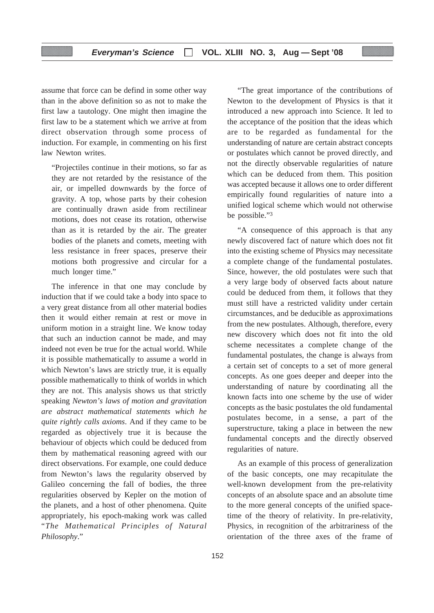assume that force can be defind in some other way than in the above definition so as not to make the first law a tautology. One might then imagine the first law to be a statement which we arrive at from direct observation through some process of induction. For example, in commenting on his first law Newton writes.

"Projectiles continue in their motions, so far as they are not retarded by the resistance of the air, or impelled downwards by the force of gravity. A top, whose parts by their cohesion are continually drawn aside from rectilinear motions, does not cease its rotation, otherwise than as it is retarded by the air. The greater bodies of the planets and comets, meeting with less resistance in freer spaces, preserve their motions both progressive and circular for a much longer time."

The inference in that one may conclude by induction that if we could take a body into space to a very great distance from all other material bodies then it would either remain at rest or move in uniform motion in a straight line. We know today that such an induction cannot be made, and may indeed not even be true for the actual world. While it is possible mathematically to assume a world in which Newton's laws are strictly true, it is equally possible mathematically to think of worlds in which they are not. This analysis shows us that strictly speaking *Newton's laws of motion and gravitation are abstract mathematical statements which he quite rightly calls axioms*. And if they came to be regarded as objectively true it is because the behaviour of objects which could be deduced from them by mathematical reasoning agreed with our direct observations. For example, one could deduce from Newton's laws the regularity observed by Galileo concerning the fall of bodies, the three regularities observed by Kepler on the motion of the planets, and a host of other phenomena. Quite appropriately, his epoch-making work was called "*The Mathematical Principles of Natural Philosophy*."

"The great importance of the contributions of Newton to the development of Physics is that it introduced a new approach into Science. It led to the acceptance of the position that the ideas which are to be regarded as fundamental for the understanding of nature are certain abstract concepts or postulates which cannot be proved directly, and not the directly observable regularities of nature which can be deduced from them. This position was accepted because it allows one to order different empirically found regularities of nature into a unified logical scheme which would not otherwise be possible."3

"A consequence of this approach is that any newly discovered fact of nature which does not fit into the existing scheme of Physics may necessitate a complete change of the fundamental postulates. Since, however, the old postulates were such that a very large body of observed facts about nature could be deduced from them, it follows that they must still have a restricted validity under certain circumstances, and be deducible as approximations from the new postulates. Although, therefore, every new discovery which does not fit into the old scheme necessitates a complete change of the fundamental postulates, the change is always from a certain set of concepts to a set of more general concepts. As one goes deeper and deeper into the understanding of nature by coordinating all the known facts into one scheme by the use of wider concepts as the basic postulates the old fundamental postulates become, in a sense, a part of the superstructure, taking a place in between the new fundamental concepts and the directly observed regularities of nature.

As an example of this process of generalization of the basic concepts, one may recapitulate the well-known development from the pre-relativity concepts of an absolute space and an absolute time to the more general concepts of the unified spacetime of the theory of relativity. In pre-relativity, Physics, in recognition of the arbitrariness of the orientation of the three axes of the frame of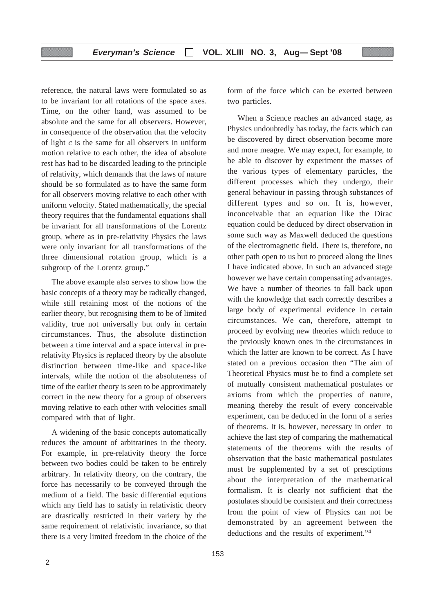reference, the natural laws were formulated so as to be invariant for all rotations of the space axes. Time, on the other hand, was assumed to be absolute and the same for all observers. However, in consequence of the observation that the velocity of light *c* is the same for all observers in uniform motion relative to each other, the idea of absolute rest has had to be discarded leading to the principle of relativity, which demands that the laws of nature should be so formulated as to have the same form for all observers moving relative to each other with uniform velocity. Stated mathematically, the special theory requires that the fundamental equations shall be invariant for all transformations of the Lorentz group, where as in pre-relativity Physics the laws were only invariant for all transformations of the three dimensional rotation group, which is a subgroup of the Lorentz group."

The above example also serves to show how the basic concepts of a theory may be radically changed, while still retaining most of the notions of the earlier theory, but recognising them to be of limited validity, true not universally but only in certain circumstances. Thus, the absolute distinction between a time interval and a space interval in prerelativity Physics is replaced theory by the absolute distinction between time-like and space-like intervals, while the notion of the absoluteness of time of the earlier theory is seen to be approximately correct in the new theory for a group of observers moving relative to each other with velocities small compared with that of light.

A widening of the basic concepts automatically reduces the amount of arbitrarines in the theory. For example, in pre-relativity theory the force between two bodies could be taken to be entirely arbitrary. In relativity theory, on the contrary, the force has necessarily to be conveyed through the medium of a field. The basic differential equtions which any field has to satisfy in relativistic theory are drastically restricted in their variety by the same requirement of relativistic invariance, so that there is a very limited freedom in the choice of the form of the force which can be exerted between two particles.

When a Science reaches an advanced stage, as Physics undoubtedly has today, the facts which can be discovered by direct observation become more and more meagre. We may expect, for example, to be able to discover by experiment the masses of the various types of elementary particles, the different processes which they undergo, their general behaviour in passing through substances of different types and so on. It is, however, inconceivable that an equation like the Dirac equation could be deduced by direct observation in some such way as Maxwell deduced the questions of the electromagnetic field. There is, therefore, no other path open to us but to proceed along the lines I have indicated above. In such an advanced stage however we have certain compensating advantages. We have a number of theories to fall back upon with the knowledge that each correctly describes a large body of experimental evidence in certain circumstances. We can, therefore, attempt to proceed by evolving new theories which reduce to the prviously known ones in the circumstances in which the latter are known to be correct. As I have stated on a previous occasion then "The aim of Theoretical Physics must be to find a complete set of mutually consistent mathematical postulates or axioms from which the properties of nature, meaning thereby the result of every conceivable experiment, can be deduced in the form of a series of theorems. It is, however, necessary in order to achieve the last step of comparing the mathematical statements of the theorems with the results of observation that the basic mathematical postulates must be supplemented by a set of presciptions about the interpretation of the mathematical formalism. It is clearly not sufficient that the postulates should be consistent and their correctness from the point of view of Physics can not be demonstrated by an agreement between the deductions and the results of experiment."4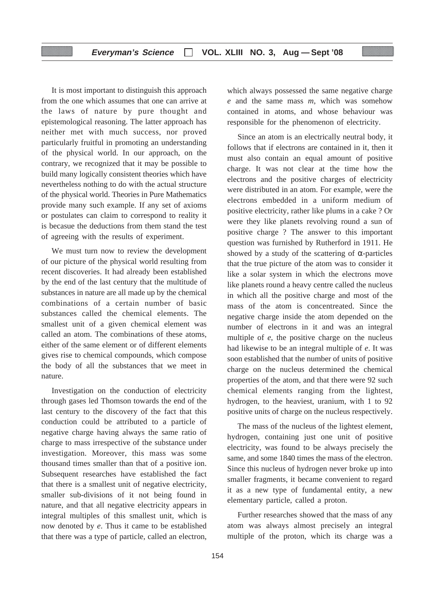It is most important to distinguish this approach from the one which assumes that one can arrive at the laws of nature by pure thought and epistemological reasoning. The latter approach has neither met with much success, nor proved particularly fruitful in promoting an understanding of the physical world. In our approach, on the contrary, we recognized that it may be possible to build many logically consistent theories which have nevertheless nothing to do with the actual structure of the physical world. Theories in Pure Mathematics provide many such example. If any set of axioms or postulates can claim to correspond to reality it is becasue the deductions from them stand the test of agreeing with the results of experiment.

We must turn now to review the development of our picture of the physical world resulting from recent discoveries. It had already been established by the end of the last century that the multitude of substances in nature are all made up by the chemical combinations of a certain number of basic substances called the chemical elements. The smallest unit of a given chemical element was called an atom. The combinations of these atoms, either of the same element or of different elements gives rise to chemical compounds, which compose the body of all the substances that we meet in nature.

Investigation on the conduction of electricity through gases led Thomson towards the end of the last century to the discovery of the fact that this conduction could be attributed to a particle of negative charge having always the same ratio of charge to mass irrespective of the substance under investigation. Moreover, this mass was some thousand times smaller than that of a positive ion. Subsequent researches have established the fact that there is a smallest unit of negative electricity, smaller sub-divisions of it not being found in nature, and that all negative electricity appears in integral multiples of this smallest unit, which is now denoted by *e*. Thus it came to be established that there was a type of particle, called an electron,

which always possessed the same negative charge *e* and the same mass *m*, which was somehow contained in atoms, and whose behaviour was responsible for the phenomenon of electricity.

Since an atom is an electrically neutral body, it follows that if electrons are contained in it, then it must also contain an equal amount of positive charge. It was not clear at the time how the electrons and the positive charges of electricity were distributed in an atom. For example, were the electrons embedded in a uniform medium of positive electricity, rather like plums in a cake ? Or were they like planets revolving round a sun of positive charge ? The answer to this important question was furnished by Rutherford in 1911. He showed by a study of the scattering of  $\alpha$ -particles that the true picture of the atom was to consider it like a solar system in which the electrons move like planets round a heavy centre called the nucleus in which all the positive charge and most of the mass of the atom is concentreated. Since the negative charge inside the atom depended on the number of electrons in it and was an integral multiple of *e*, the positive charge on the nucleus had likewise to be an integral multiple of *e*. It was soon established that the number of units of positive charge on the nucleus determined the chemical properties of the atom, and that there were 92 such chemical elements ranging from the lightest, hydrogen, to the heaviest, uranium, with 1 to 92 positive units of charge on the nucleus respectively.

The mass of the nucleus of the lightest element, hydrogen, containing just one unit of positive electricity, was found to be always precisely the same, and some 1840 times the mass of the electron. Since this nucleus of hydrogen never broke up into smaller fragments, it became convenient to regard it as a new type of fundamental entity, a new elementary particle, called a proton.

Further researches showed that the mass of any atom was always almost precisely an integral multiple of the proton, which its charge was a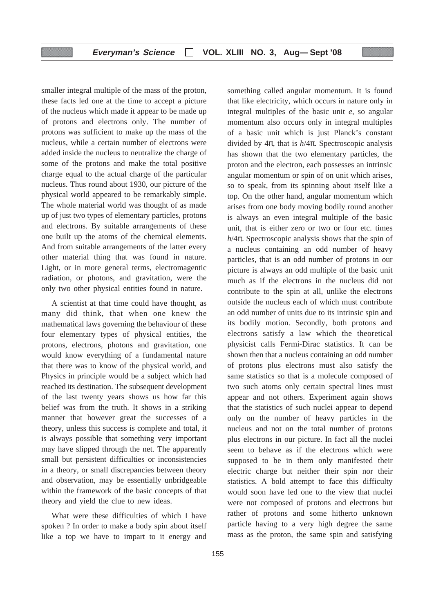smaller integral multiple of the mass of the proton, these facts led one at the time to accept a picture of the nucleus which made it appear to be made up of protons and electrons only. The number of protons was sufficient to make up the mass of the nucleus, while a certain number of electrons were added inside the nucleus to neutralize the charge of some of the protons and make the total positive charge equal to the actual charge of the particular nucleus. Thus round about 1930, our picture of the physical world appeared to be remarkably simple. The whole material world was thought of as made up of just two types of elementary particles, protons and electrons. By suitable arrangements of these one built up the atoms of the chemical elements. And from suitable arrangements of the latter every other material thing that was found in nature. Light, or in more general terms, electromagentic radiation, or photons, and gravitation, were the only two other physical entities found in nature.

A scientist at that time could have thought, as many did think, that when one knew the mathematical laws governing the behaviour of these four elementary types of physical entities, the protons, electrons, photons and gravitation, one would know everything of a fundamental nature that there was to know of the physical world, and Physics in principle would be a subject which had reached its destination. The subsequent development of the last twenty years shows us how far this belief was from the truth. It shows in a striking manner that however great the successes of a theory, unless this success is complete and total, it is always possible that something very important may have slipped through the net. The apparently small but persistent difficulties or inconsistencies in a theory, or small discrepancies between theory and observation, may be essentially unbridgeable within the framework of the basic concepts of that theory and yield the clue to new ideas.

What were these difficulties of which I have spoken ? In order to make a body spin about itself like a top we have to impart to it energy and something called angular momentum. It is found that like electricity, which occurs in nature only in integral multiples of the basic unit *e*, so angular momentum also occurs only in integral multiples of a basic unit which is just Planck's constant divided by 4π, that is *h*/4π. Spectroscopic analysis has shown that the two elementary particles, the proton and the electron, each possesses an intrinsic angular momentum or spin of on unit which arises, so to speak, from its spinning about itself like a top. On the other hand, angular momentum which arises from one body moving bodily round another is always an even integral multiple of the basic unit, that is either zero or two or four etc. times  $h/4\pi$ . Spectroscopic analysis shows that the spin of a nucleus containing an odd number of heavy particles, that is an odd number of protons in our picture is always an odd multiple of the basic unit much as if the electrons in the nucleus did not contribute to the spin at all, unlike the electrons outside the nucleus each of which must contribute an odd number of units due to its intrinsic spin and its bodily motion. Secondly, both protons and electrons satisfy a law which the theoretical physicist calls Fermi-Dirac statistics. It can be shown then that a nucleus containing an odd number of protons plus electrons must also satisfy the same statistics so that is a molecule composed of two such atoms only certain spectral lines must appear and not others. Experiment again shows that the statistics of such nuclei appear to depend only on the number of heavy particles in the nucleus and not on the total number of protons plus electrons in our picture. In fact all the nuclei seem to behave as if the electrons which were supposed to be in them only manifested their electric charge but neither their spin nor their statistics. A bold attempt to face this difficulty would soon have led one to the view that nuclei were not composed of protons and electrons but rather of protons and some hitherto unknown particle having to a very high degree the same mass as the proton, the same spin and satisfying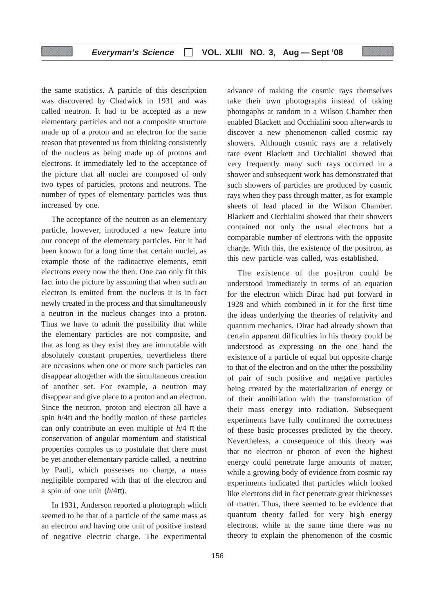the same statistics. A particle of this description was discovered by Chadwick in 1931 and was called neutron. It had to be accepted as a new elementary particles and not a composite structure made up of a proton and an electron for the same reason that prevented us from thinking consistently of the nucleus as being made up of protons and electrons. It immediately led to the acceptance of the picture that all nuclei are composed of only two types of particles, protons and neutrons. The number of types of elementary particles was thus increased by one.

The acceptance of the neutron as an elementary particle, however, introduced a new feature into our concept of the elementary particles. For it had been known for a long time that certain nuclei, as example those of the radioactive elements, emit electrons every now the then. One can only fit this fact into the picture by assuming that when such an electron is emitted from the nucleus it is in fact newly created in the process and that simultaneously a neutron in the nucleus changes into a proton. Thus we have to admit the possibility that while the elementary particles are not composite, and that as long as they exist they are immutable with absolutely constant properties, nevertheless there are occasions when one or more such particles can disappear altogether with the simultaneous creation of another set. For example, a neutron may disappear and give place to a proton and an electron. Since the neutron, proton and electron all have a spin  $h/4\pi$  and the bodily motion of these particles can only contribute an even multiple of  $h/4 \pi$  the conservation of angular momentum and statistical properties comples us to postulate that there must be yet another elementary particle called, a neutrino by Pauli, which possesses no charge, a mass negligible compared with that of the electron and a spin of one unit  $(h/4\pi)$ .

In 1931, Anderson reported a photograph which seemed to be that of a particle of the same mass as an electron and having one unit of positive instead of negative electric charge. The experimental advance of making the cosmic rays themselves take their own photographs instead of taking photogaphs at random in a Wilson Chamber then enabled Blackett and Occhialini soon afterwards to discover a new phenomenon called cosmic ray showers. Although cosmic rays are a relatively rare event Blackett and Occhialini showed that very frequently many such rays occurred in a shower and subsequent work has demonstrated that such showers of particles are produced by cosmic rays when they pass through matter, as for example sheets of lead placed in the Wilson Chamber. Blackett and Occhialini showed that their showers contained not only the usual electrons but a comparable number of electrons with the opposite charge. With this, the existence of the positron, as this new particle was called, was established.

The existence of the positron could be understood immediately in terms of an equation for the electron which Dirac had put forward in 1928 and which combined in it for the first time the ideas underlying the theories of relativity and quantum mechanics. Dirac had already shown that certain apparent difficulties in his theory could be understood as expressing on the one hand the existence of a particle of equal but opposite charge to that of the electron and on the other the possibility of pair of such positive and negative particles being created by the materialization of energy or of their annihilation with the transformation of their mass energy into radiation. Subsequent experiments have fully confirmed the correctness of these basic processes predicted by the theory. Nevertheless, a consequence of this theory was that no electron or photon of even the highest energy could penetrate large amounts of matter, while a growing body of evidence from cosmic ray experiments indicated that particles which looked like electrons did in fact penetrate great thicknesses of matter. Thus, there seemed to be evidence that quantum theory failed for very high energy electrons, while at the same time there was no theory to explain the phenomenon of the cosmic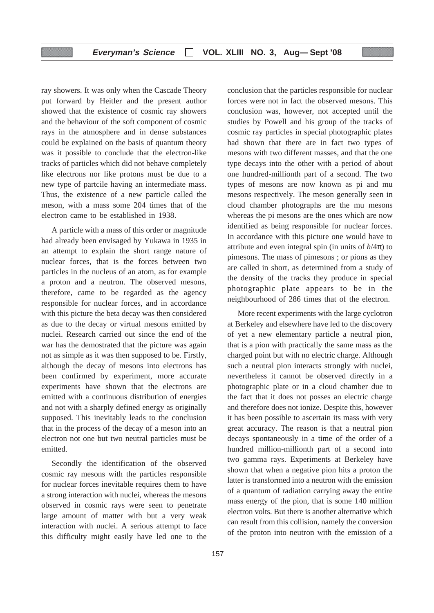ray showers. It was only when the Cascade Theory put forward by Heitler and the present author showed that the existence of cosmic ray showers and the behaviour of the soft component of cosmic rays in the atmosphere and in dense substances could be explained on the basis of quantum theory was it possible to conclude that the electron-like tracks of particles which did not behave completely like electrons nor like protons must be due to a new type of partcile having an intermediate mass. Thus, the existence of a new particle called the meson, with a mass some 204 times that of the electron came to be established in 1938.

A particle with a mass of this order or magnitude had already been envisaged by Yukawa in 1935 in an attempt to explain the short range nature of nuclear forces, that is the forces between two particles in the nucleus of an atom, as for example a proton and a neutron. The observed mesons, therefore, came to be regarded as the agency responsible for nuclear forces, and in accordance with this picture the beta decay was then considered as due to the decay or virtual mesons emitted by nuclei. Research carried out since the end of the war has the demostrated that the picture was again not as simple as it was then supposed to be. Firstly, although the decay of mesons into electrons has been confirmed by experiment, more accurate experiments have shown that the electrons are emitted with a continuous distribution of energies and not with a sharply defined energy as originally supposed. This inevitably leads to the conclusion that in the process of the decay of a meson into an electron not one but two neutral particles must be emitted.

Secondly the identification of the observed cosmic ray mesons with the particles responsible for nuclear forces inevitable requires them to have a strong interaction with nuclei, whereas the mesons observed in cosmic rays were seen to penetrate large amount of matter with but a very weak interaction with nuclei. A serious attempt to face this difficulty might easily have led one to the conclusion that the particles responsible for nuclear forces were not in fact the observed mesons. This conclusion was, however, not accepted until the studies by Powell and his group of the tracks of cosmic ray particles in special photographic plates had shown that there are in fact two types of mesons with two different masses, and that the one type decays into the other with a period of about one hundred-millionth part of a second. The two types of mesons are now known as pi and mu mesons respectively. The meson generally seen in cloud chamber photographs are the mu mesons whereas the pi mesons are the ones which are now identified as being responsible for nuclear forces. In accordance with this picture one would have to attribute and even integral spin (in units of  $h/4\pi$ ) to pimesons. The mass of pimesons ; or pions as they are called in short, as determined from a study of the density of the tracks they produce in special photographic plate appears to be in the neighbourhood of 286 times that of the electron.

More recent experiments with the large cyclotron at Berkeley and elsewhere have led to the discovery of yet a new elementary particle a neutral pion, that is a pion with practically the same mass as the charged point but with no electric charge. Although such a neutral pion interacts strongly with nuclei, nevertheless it cannot be observed directly in a photographic plate or in a cloud chamber due to the fact that it does not posses an electric charge and therefore does not ionize. Despite this, however it has been possible to ascertain its mass with very great accuracy. The reason is that a neutral pion decays spontaneously in a time of the order of a hundred million-millionth part of a second into two gamma rays. Experiments at Berkeley have shown that when a negative pion hits a proton the latter is transformed into a neutron with the emission of a quantum of radiation carrying away the entire mass energy of the pion, that is some 140 million electron volts. But there is another alternative which can result from this collision, namely the conversion of the proton into neutron with the emission of a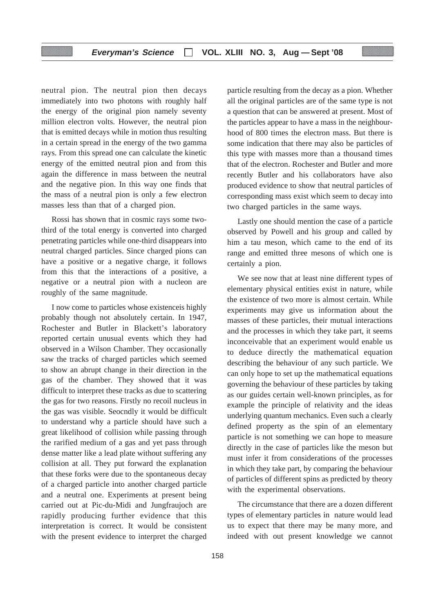neutral pion. The neutral pion then decays immediately into two photons with roughly half the energy of the original pion namely seventy million electron volts. However, the neutral pion that is emitted decays while in motion thus resulting in a certain spread in the energy of the two gamma rays. From this spread one can calculate the kinetic energy of the emitted neutral pion and from this again the difference in mass between the neutral and the negative pion. In this way one finds that the mass of a neutral pion is only a few electron masses less than that of a charged pion.

Rossi has shown that in cosmic rays some twothird of the total energy is converted into charged penetrating particles while one-third disappears into neutral charged particles. Since charged pions can have a positive or a negative charge, it follows from this that the interactions of a positive, a negative or a neutral pion with a nucleon are roughly of the same magnitude.

I now come to particles whose existenceis highly probably though not absolutely certain. In 1947, Rochester and Butler in Blackett's laboratory reported certain unusual events which they had observed in a Wilson Chamber. They occasionally saw the tracks of charged particles which seemed to show an abrupt change in their direction in the gas of the chamber. They showed that it was difficult to interpret these tracks as due to scattering the gas for two reasons. Firstly no recoil nucleus in the gas was visible. Seocndly it would be difficult to understand why a particle should have such a great likelihood of collision while passing through the rarified medium of a gas and yet pass through dense matter like a lead plate without suffering any collision at all. They put forward the explanation that these forks were due to the spontaneous decay of a charged particle into another charged particle and a neutral one. Experiments at present being carried out at Pic-du-Midi and Jungfraujoch are rapidly producing further evidence that this interpretation is correct. It would be consistent with the present evidence to interpret the charged particle resulting from the decay as a pion. Whether all the original particles are of the same type is not a question that can be answered at present. Most of the particles appear to have a mass in the neighbourhood of 800 times the electron mass. But there is some indication that there may also be particles of this type with masses more than a thousand times that of the electron. Rochester and Butler and more recently Butler and his collaborators have also produced evidence to show that neutral particles of corresponding mass exist which seem to decay into two charged particles in the same ways.

Lastly one should mention the case of a particle observed by Powell and his group and called by him a tau meson, which came to the end of its range and emitted three mesons of which one is certainly a pion.

We see now that at least nine different types of elementary physical entities exist in nature, while the existence of two more is almost certain. While experiments may give us information about the masses of these particles, their mutual interactions and the processes in which they take part, it seems inconceivable that an experiment would enable us to deduce directly the mathematical equation describing the behaviour of any such particle. We can only hope to set up the mathematical equations governing the behaviour of these particles by taking as our guides certain well-known principles, as for example the principle of relativity and the ideas underlying quantum mechanics. Even such a clearly defined property as the spin of an elementary particle is not something we can hope to measure directly in the case of particles like the meson but must infer it from considerations of the processes in which they take part, by comparing the behaviour of particles of different spins as predicted by theory with the experimental observations.

The circumstance that there are a dozen different types of elementary particles in nature would lead us to expect that there may be many more, and indeed with out present knowledge we cannot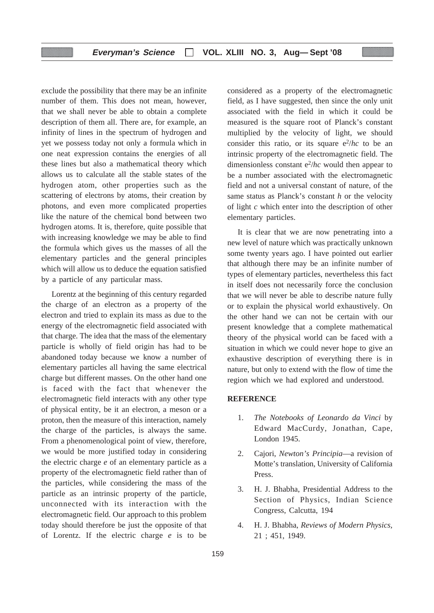exclude the possibility that there may be an infinite number of them. This does not mean, however, that we shall never be able to obtain a complete description of them all. There are, for example, an infinity of lines in the spectrum of hydrogen and yet we possess today not only a formula which in one neat expression contains the energies of all these lines but also a mathematical theory which allows us to calculate all the stable states of the hydrogen atom, other properties such as the scattering of electrons by atoms, their creation by photons, and even more complicated properties like the nature of the chemical bond between two hydrogen atoms. It is, therefore, quite possible that with increasing knowledge we may be able to find the formula which gives us the masses of all the elementary particles and the general principles which will allow us to deduce the equation satisfied by a particle of any particular mass.

Lorentz at the beginning of this century regarded the charge of an electron as a property of the electron and tried to explain its mass as due to the energy of the electromagnetic field associated with that charge. The idea that the mass of the elementary particle is wholly of field origin has had to be abandoned today because we know a number of elementary particles all having the same electrical charge but different masses. On the other hand one is faced with the fact that whenever the electromagnetic field interacts with any other type of physical entity, be it an electron, a meson or a proton, then the measure of this interaction, namely the charge of the particles, is always the same. From a phenomenological point of view, therefore, we would be more justified today in considering the electric charge *e* of an elementary particle as a property of the electromagnetic field rather than of the particles, while considering the mass of the particle as an intrinsic property of the particle, unconnected with its interaction with the electromagnetic field. Our approach to this problem today should therefore be just the opposite of that of Lorentz. If the electric charge *e* is to be

considered as a property of the electromagnetic field, as I have suggested, then since the only unit associated with the field in which it could be measured is the square root of Planck's constant multiplied by the velocity of light, we should consider this ratio, or its square  $e^2/hc$  to be an intrinsic property of the electromagnetic field. The dimensionless constant  $e^2/hc$  would then appear to be a number associated with the electromagnetic field and not a universal constant of nature, of the same status as Planck's constant *h* or the velocity of light *c* which enter into the description of other elementary particles.

It is clear that we are now penetrating into a new level of nature which was practically unknown some twenty years ago. I have pointed out earlier that although there may be an infinite number of types of elementary particles, nevertheless this fact in itself does not necessarily force the conclusion that we will never be able to describe nature fully or to explain the physical world exhaustively. On the other hand we can not be certain with our present knowledge that a complete mathematical theory of the physical world can be faced with a situation in which we could never hope to give an exhaustive description of everything there is in nature, but only to extend with the flow of time the region which we had explored and understood.

# **REFERENCE**

- 1. *The Notebooks of Leonardo da Vinci* by Edward MacCurdy, Jonathan, Cape, London 1945.
- 2. Cajori, *Newton's Principia*—a revision of Motte's translation, University of California Press.
- 3. H. J. Bhabha, Presidential Address to the Section of Physics, Indian Science Congress, Calcutta, 194
- 4. H. J. Bhabha, *Reviews of Modern Physics,* 21 ; 451, 1949.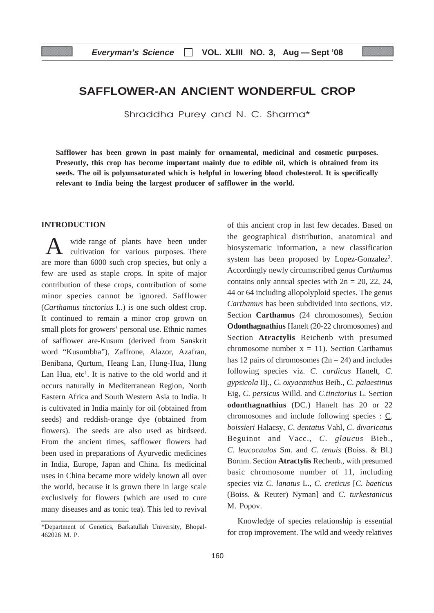# **SAFFLOWER-AN ANCIENT WONDERFUL CROP**

Shraddha Purey and N. C. Sharma\*

**Safflower has been grown in past mainly for ornamental, medicinal and cosmetic purposes. Presently, this crop has become important mainly due to edible oil, which is obtained from its seeds. The oil is polyunsaturated which is helpful in lowering blood cholesterol. It is specifically relevant to India being the largest producer of safflower in the world.**

# **INTRODUCTION**

wide range of plants have been under cultivation for various purposes. There are more than 6000 such crop species, but only a few are used as staple crops. In spite of major contribution of these crops, contribution of some minor species cannot be ignored. Safflower (*Carthamus tinctorius* I..) is one such oldest crop. It continued to remain a minor crop grown on small plots for growers' personal use. Ethnic names of safflower are-Kusum (derived from Sanskrit word "Kusumbha"), Zaffrone, Alazor, Azafran, Benibana, Qurtum, Heang Lan, Hung-Hua, Hung Lan Hua,  $etc<sup>1</sup>$ . It is native to the old world and it occurs naturally in Mediterranean Region, North Eastern Africa and South Western Asia to India. It is cultivated in India mainly for oil (obtained from seeds) and reddish-orange dye (obtained from flowers). The seeds are also used as birdseed. From the ancient times, safflower flowers had been used in preparations of Ayurvedic medicines in India, Europe, Japan and China. Its medicinal uses in China became more widely known all over the world, because it is grown there in large scale exclusively for flowers (which are used to cure many diseases and as tonic tea). This led to revival

of this ancient crop in last few decades. Based on the geographical distribution, anatomical and biosystematic information, a new classification system has been proposed by Lopez-Gonzalez<sup>2</sup>. Accordingly newly circumscribed genus *Carthamus* contains only annual species with  $2n = 20$ , 22, 24, 44 or 64 including allopolyploid species. The genus *Carthamus* has been subdivided into sections, viz. Section **Carthamus** (24 chromosomes), Section **Odonthagnathius** Hanelt (20-22 chromosomes) and Section **Atractylis** Reichenb with presumed chromosome number  $x = 11$ ). Section Carthamus has 12 pairs of chromosomes  $(2n = 24)$  and includes following species viz. *C*. *curdicus* Hanelt, *C*. *gypsicola* IIj., *C*. *oxyacanthus* Beib., *C*. *palaestinus* Eig, *C*. *persicus* Willd. and *C*.*tinctorius* L. Section **odonthagnathius** (DC.) Hanelt has 20 or 22 chromosomes and include following species : C. *boissieri* Halacsy, *C*. *dentatus* Vahl, *C*. *divaricatus* Beguinot and Vacc., *C*. *glaucus* Bieb., *C*. *leucocaulos* Sm. and *C*. *tenuis* (Boiss. & Bl.) Bornm. Section **Atractylis** Rechenb., with presumed basic chromosome number of 11, including species viz *C. lanatus* L., *C. creticus* [*C. baeticus* (Boiss. & Reuter) Nyman] and *C. turkestanicus* M. Popov.

Knowledge of species relationship is essential for crop improvement. The wild and weedy relatives

<sup>\*</sup>Department of Genetics, Barkatullah University, Bhopal-462026 M. P.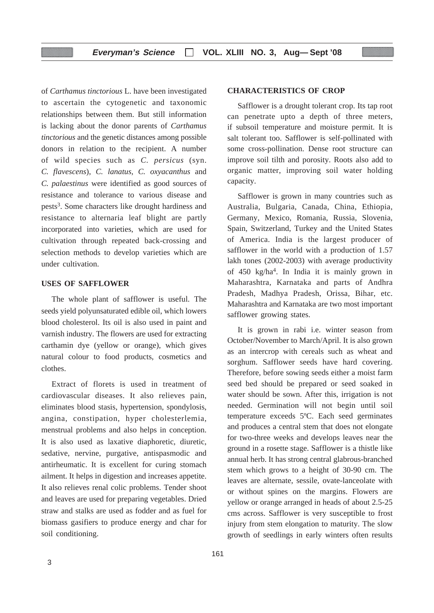of *Carthamus tinctorious* L. have been investigated to ascertain the cytogenetic and taxonomic relationships between them. But still information is lacking about the donor parents of *Carthamus tinctorious* and the genetic distances among possible donors in relation to the recipient. A number of wild species such as *C. persicus* (syn. *C. flavescens*), *C. lanatus, C. oxyacanthus* and *C. palaestinus* were identified as good sources of resistance and tolerance to various disease and pests3. Some characters like drought hardiness and resistance to alternaria leaf blight are partly incorporated into varieties, which are used for cultivation through repeated back-crossing and selection methods to develop varieties which are under cultivation.

# **USES OF SAFFLOWER**

The whole plant of safflower is useful. The seeds yield polyunsaturated edible oil, which lowers blood cholesterol. Its oil is also used in paint and varnish industry. The flowers are used for extracting carthamin dye (yellow or orange), which gives natural colour to food products, cosmetics and clothes.

Extract of florets is used in treatment of cardiovascular diseases. It also relieves pain, eliminates blood stasis, hypertension, spondylosis, angina, constipation, hyper cholesterlemia, menstrual problems and also helps in conception. It is also used as laxative diaphoretic, diuretic, sedative, nervine, purgative, antispasmodic and antirheumatic. It is excellent for curing stomach ailment. It helps in digestion and increases appetite. It also relieves renal colic problems. Tender shoot and leaves are used for preparing vegetables. Dried straw and stalks are used as fodder and as fuel for biomass gasifiers to produce energy and char for soil conditioning.

**CHARACTERISTICS OF CROP**

can penetrate upto a depth of three meters, if subsoil temperature and moisture permit. It is salt tolerant too. Safflower is self-pollinated with some cross-pollination. Dense root structure can improve soil tilth and porosity. Roots also add to organic matter, improving soil water holding capacity.

Safflower is grown in many countries such as Australia, Bulgaria, Canada, China, Ethiopia, Germany, Mexico, Romania, Russia, Slovenia, Spain, Switzerland, Turkey and the United States of America. India is the largest producer of safflower in the world with a production of 1.57 lakh tones (2002-2003) with average productivity of 450 kg/ha4. In India it is mainly grown in Maharashtra, Karnataka and parts of Andhra Pradesh, Madhya Pradesh, Orissa, Bihar, etc. Maharashtra and Karnataka are two most important safflower growing states.

It is grown in rabi i.e. winter season from October/November to March/April. It is also grown as an intercrop with cereals such as wheat and sorghum. Safflower seeds have hard covering. Therefore, before sowing seeds either a moist farm seed bed should be prepared or seed soaked in water should be sown. After this, irrigation is not needed. Germination will not begin until soil temperature exceeds 5ºC. Each seed germinates and produces a central stem that does not elongate for two-three weeks and develops leaves near the ground in a rosette stage. Safflower is a thistle like annual herb. It has strong central glabrous-branched stem which grows to a height of 30-90 cm. The leaves are alternate, sessile, ovate-lanceolate with or without spines on the margins. Flowers are yellow or orange arranged in heads of about 2.5-25 cms across. Safflower is very susceptible to frost injury from stem elongation to maturity. The slow growth of seedlings in early winters often results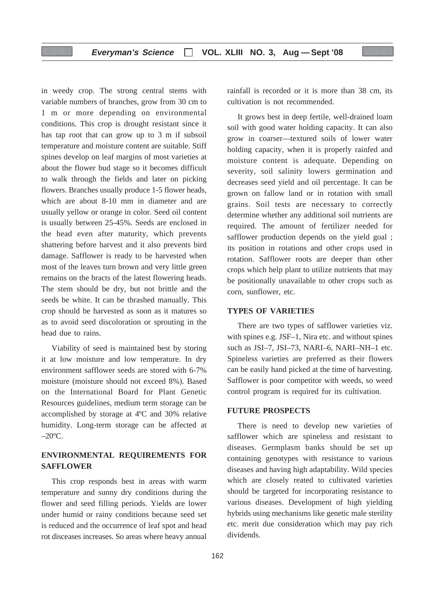in weedy crop. The strong central stems with variable numbers of branches, grow from 30 cm to 1 m or more depending on environmental conditions. This crop is drought resistant since it has tap root that can grow up to 3 m if subsoil temperature and moisture content are suitable. Stiff spines develop on leaf margins of most varieties at about the flower bud stage so it becomes difficult to walk through the fields and later on picking flowers. Branches usually produce 1-5 flower heads, which are about 8-10 mm in diameter and are usually yellow or orange in color. Seed oil content is usually between 25-45%. Seeds are enclosed in the head even after maturity, which prevents shattering before harvest and it also prevents bird damage. Safflower is ready to be harvested when most of the leaves turn brown and very little green remains on the bracts of the latest flowering heads. The stem should be dry, but not brittle and the seeds be white. It can be thrashed manually. This crop should be harvested as soon as it matures so as to avoid seed discoloration or sprouting in the head due to rains.

Viability of seed is maintained best by storing it at low moisture and low temperature. In dry environment safflower seeds are stored with 6-7% moisture (moisture should not exceed 8%). Based on the International Board for Plant Genetic Resources guidelines, medium term storage can be accomplished by storage at 4ºC and 30% relative humidity. Long-term storage can be affected at  $-20$ <sup>o</sup>C.

# **ENVIRONMENTAL REQUIREMENTS FOR SAFFLOWER**

This crop responds best in areas with warm temperature and sunny dry conditions during the flower and seed filling periods. Yields are lower under humid or rainy conditions because seed set is reduced and the occurrence of leaf spot and head rot disceases increases. So areas where heavy annual

rainfall is recorded or it is more than 38 cm, its cultivation is not recommended.

It grows best in deep fertile, well-drained loam soil with good water holding capacity. It can also grow in coarser—textured soils of lower water holding capacity, when it is properly rainfed and moisture content is adequate. Depending on severity, soil salinity lowers germination and decreases seed yield and oil percentage. It can be grown on fallow land or in rotation with small grains. Soil tests are necessary to correctly determine whether any additional soil nutrients are required. The amount of fertilizer needed for safflower production depends on the yield goal ; its position in rotations and other crops used in rotation. Safflower roots are deeper than other crops which help plant to utilize nutrients that may be positionally unavailable to other crops such as corn, sunflower, etc.

# **TYPES OF VARIETIES**

There are two types of safflower varieties viz. with spines e.g. JSF–1, Nira etc. and without spines such as JSI–7, JSI–73, NARI–6, NARI–NH–1 etc. Spineless varieties are preferred as their flowers can be easily hand picked at the time of harvesting. Safflower is poor competitor with weeds, so weed control program is required for its cultivation.

#### **FUTURE PROSPECTS**

There is need to develop new varieties of safflower which are spineless and resistant to diseases. Germplasm banks should be set up containing genotypes with resistance to various diseases and having high adaptability. Wild species which are closely reated to cultivated varieties should be targeted for incorporating resistance to various diseases. Development of high yielding hybrids using mechanisms like genetic male sterility etc. merit due consideration which may pay rich dividends.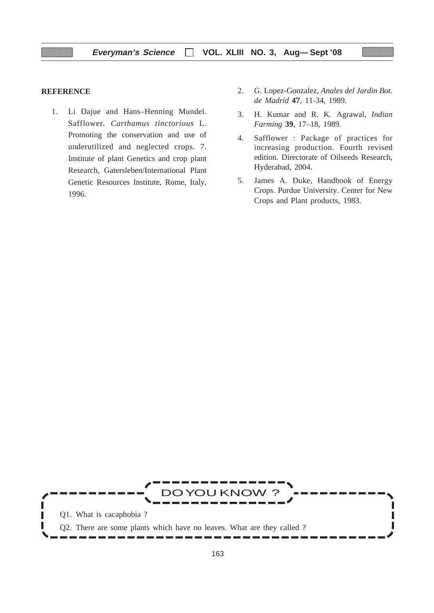# **REFERENCE**

- 1. Li Dajue and Hans–Henning Mundel. Safflower. *Carthamus tinctorious* L. Promoting the conservation and use of underutilized and neglected crops. 7. Institute of plant Genetics and crop plant Research, Gatersleben/International Plant Genetic Resources Institute, Rome, Italy, 1996.
- 2. G. Lopez-Gonzalez, *Anales del Jardin Bot. de Madrid* **47**, 11-34, 1989.
- 3. H. Kumar and R. K. Agrawal, *Indian Farming* **39**, 17–18, 1989.
- 4. Safflower : Package of practices for increasing production. Fourth revised edition. Directorate of Oilseeds Research, Hyderabad, 2004.
- 5. James A. Duke, Handbook of Energy Crops. Purdue University. Center for New Crops and Plant products, 1983.

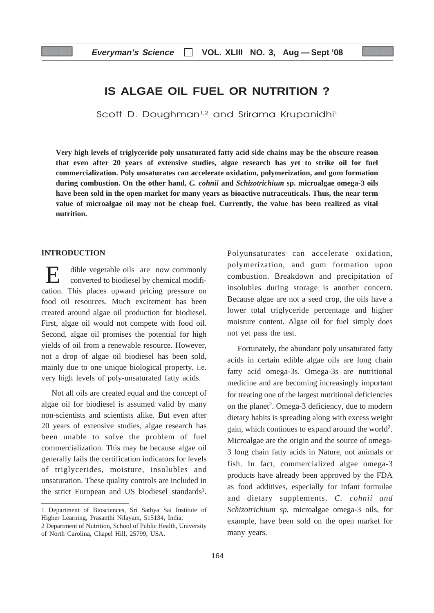# **IS ALGAE OIL FUEL OR NUTRITION ?**

Scott D. Doughman<sup>1,2</sup> and Srirama Krupanidhi<sup>1</sup>

**Very high levels of triglyceride poly unsaturated fatty acid side chains may be the obscure reason that even after 20 years of extensive studies, algae research has yet to strike oil for fuel commercialization. Poly unsaturates can accelerate oxidation, polymerization, and gum formation during combustion. On the other hand,** *C. cohnii* **and** *Schizotrichium* **sp. microalgae omega-3 oils have been sold in the open market for many years as bioactive nutraceuticals. Thus, the near term value of microalgae oil may not be cheap fuel. Currently, the value has been realized as vital nutrition.**

#### **INTRODUCTION**

dible vegetable oils are now commonly converted to biodiesel by chemical modification. This places upward pricing pressure on food oil resources. Much excitement has been created around algae oil production for biodiesel. First, algae oil would not compete with food oil. Second, algae oil promises the potential for high yields of oil from a renewable resource. However, not a drop of algae oil biodiesel has been sold, mainly due to one unique biological property, i.e. very high levels of poly-unsaturated fatty acids.

Not all oils are created equal and the concept of algae oil for biodiesel is assumed valid by many non-scientists and scientists alike. But even after 20 years of extensive studies, algae research has been unable to solve the problem of fuel commercialization. This may be because algae oil generally fails the certification indicators for levels of triglycerides, moisture, insolubles and unsaturation. These quality controls are included in the strict European and US biodiesel standards1. Polyunsaturates can accelerate oxidation, polymerization, and gum formation upon combustion. Breakdown and precipitation of insolubles during storage is another concern. Because algae are not a seed crop, the oils have a lower total triglyceride percentage and higher moisture content. Algae oil for fuel simply does not yet pass the test.

Fortunately, the abundant poly unsaturated fatty acids in certain edible algae oils are long chain fatty acid omega-3s. Omega-3s are nutritional medicine and are becoming increasingly important for treating one of the largest nutritional deficiencies on the planet<sup>2</sup>. Omega-3 deficiency, due to modern dietary habits is spreading along with excess weight gain, which continues to expand around the world2. Microalgae are the origin and the source of omega-3 long chain fatty acids in Nature, not animals or fish. In fact, commercialized algae omega-3 products have already been approved by the FDA as food additives, especially for infant formulae and dietary supplements. *C. cohnii and Schizotrichium sp.* microalgae omega-3 oils, for example, have been sold on the open market for many years.

<sup>1</sup> Department of Biosciences, Sri Sathya Sai Institute of Higher Learning, Prasanthi Nilayam, 515134, India,

<sup>2</sup> Department of Nutrition, School of Public Health, University of North Carolina, Chapel Hill, 25799, USA.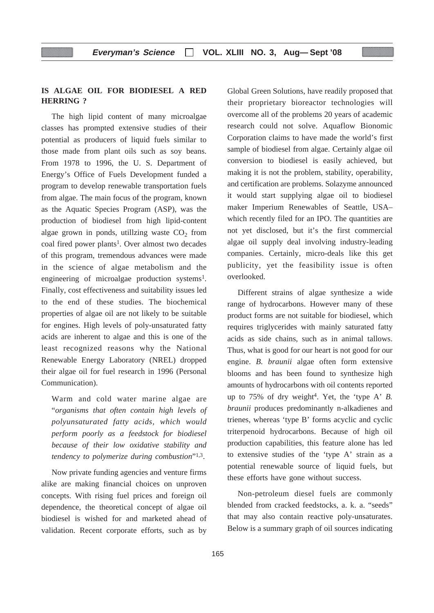# **IS ALGAE OIL FOR BIODIESEL A RED HERRING ?**

The high lipid content of many microalgae classes has prompted extensive studies of their potential as producers of liquid fuels similar to those made from plant oils such as soy beans. From 1978 to 1996, the U. S. Department of Energy's Office of Fuels Development funded a program to develop renewable transportation fuels from algae. The main focus of the program, known as the Aquatic Species Program (ASP), was the production of biodiesel from high lipid-content algae grown in ponds, utilizing waste  $CO<sub>2</sub>$  from coal fired power plants<sup>1</sup>. Over almost two decades of this program, tremendous advances were made in the science of algae metabolism and the engineering of microalgae production systems<sup>1</sup>. Finally, cost effectiveness and suitability issues led to the end of these studies. The biochemical properties of algae oil are not likely to be suitable for engines. High levels of poly-unsaturated fatty acids are inherent to algae and this is one of the least recognized reasons why the National Renewable Energy Laboratory (NREL) dropped their algae oil for fuel research in 1996 (Personal Communication).

Warm and cold water marine algae are "*organisms that often contain high levels of polyunsaturated fatty acids, which would perform poorly as a feedstock for biodiesel because of their low oxidative stability and tendency to polymerize during combustion*"1,3.

Now private funding agencies and venture firms alike are making financial choices on unproven concepts. With rising fuel prices and foreign oil dependence, the theoretical concept of algae oil biodiesel is wished for and marketed ahead of validation. Recent corporate efforts, such as by

Global Green Solutions, have readily proposed that their proprietary bioreactor technologies will overcome all of the problems 20 years of academic research could not solve. Aquaflow Bionomic Corporation claims to have made the world's first sample of biodiesel from algae. Certainly algae oil conversion to biodiesel is easily achieved, but making it is not the problem, stability, operability, and certification are problems. Solazyme announced it would start supplying algae oil to biodiesel maker Imperium Renewables of Seattle, USA– which recently filed for an IPO. The quantities are not yet disclosed, but it's the first commercial algae oil supply deal involving industry-leading companies. Certainly, micro-deals like this get publicity, yet the feasibility issue is often overlooked.

Different strains of algae synthesize a wide range of hydrocarbons. However many of these product forms are not suitable for biodiesel, which requires triglycerides with mainly saturated fatty acids as side chains, such as in animal tallows. Thus, what is good for our heart is not good for our engine. *B. braunii* algae often form extensive blooms and has been found to synthesize high amounts of hydrocarbons with oil contents reported up to 75% of dry weight4. Yet, the 'type A' *B. braunii* produces predominantly n-alkadienes and trienes, whereas 'type B' forms acyclic and cyclic triterpenoid hydrocarbons. Because of high oil production capabilities, this feature alone has led to extensive studies of the 'type A' strain as a potential renewable source of liquid fuels, but these efforts have gone without success.

Non-petroleum diesel fuels are commonly blended from cracked feedstocks, a. k. a. "seeds" that may also contain reactive poly-unsaturates. Below is a summary graph of oil sources indicating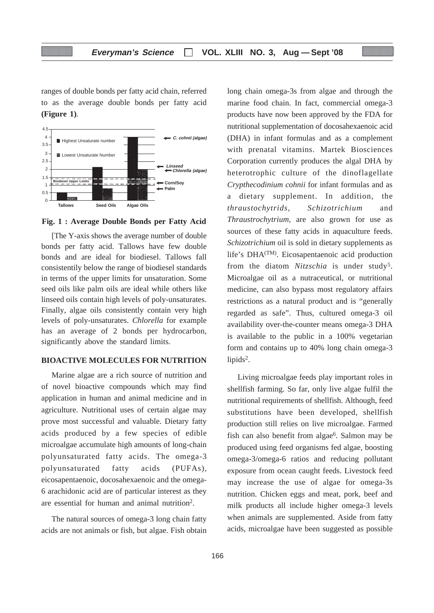ranges of double bonds per fatty acid chain, referred to as the average double bonds per fatty acid **(Figure 1)**.



**Fig. 1 : Average Double Bonds per Fatty Acid**

[The Y-axis shows the average number of double bonds per fatty acid. Tallows have few double bonds and are ideal for biodiesel. Tallows fall consistentily below the range of biodiesel standards in terms of the upper limits for unsaturation. Some seed oils like palm oils are ideal while others like linseed oils contain high levels of poly-unsaturates. Finally, algae oils consistently contain very high levels of poly-unsaturates. *Chlorella* for example has an average of 2 bonds per hydrocarbon, significantly above the standard limits.

# **BIOACTIVE MOLECULES FOR NUTRITION**

Marine algae are a rich source of nutrition and of novel bioactive compounds which may find application in human and animal medicine and in agriculture. Nutritional uses of certain algae may prove most successful and valuable. Dietary fatty acids produced by a few species of edible microalgae accumulate high amounts of long-chain polyunsaturated fatty acids. The omega-3 polyunsaturated fatty acids (PUFAs), eicosapentaenoic, docosahexaenoic and the omega-6 arachidonic acid are of particular interest as they are essential for human and animal nutrition2.

The natural sources of omega-3 long chain fatty acids are not animals or fish, but algae. Fish obtain long chain omega-3s from algae and through the marine food chain. In fact, commercial omega-3 products have now been approved by the FDA for nutritional supplementation of docosahexaenoic acid (DHA) in infant formulas and as a complement with prenatal vitamins. Martek Biosciences Corporation currently produces the algal DHA by heterotrophic culture of the dinoflagellate *Crypthecodinium cohnii* for infant formulas and as a dietary supplement. In addition, the *thraustochytrids, Schizotrichium* and *Thraustrochytrium*, are also grown for use as sources of these fatty acids in aquaculture feeds. *Schizotrichium* oil is sold in dietary supplements as life's DHA(TM). Eicosapentaenoic acid production from the diatom *Nitzschia* is under study5. Microalgae oil as a nutraceutical, or nutritional medicine, can also bypass most regulatory affairs restrictions as a natural product and is "generally regarded as safe". Thus, cultured omega-3 oil availability over-the-counter means omega-3 DHA is available to the public in a 100% vegetarian form and contains up to 40% long chain omega-3 lipids<sup>2</sup>.

Living microalgae feeds play important roles in shellfish farming. So far, only live algae fulfil the nutritional requirements of shellfish. Although, feed substitutions have been developed, shellfish production still relies on live microalgae. Farmed fish can also benefit from algae<sup>6</sup>. Salmon may be produced using feed organisms fed algae, boosting omega-3/omega-6 ratios and reducing pollutant exposure from ocean caught feeds. Livestock feed may increase the use of algae for omega-3s nutrition. Chicken eggs and meat, pork, beef and milk products all include higher omega-3 levels when animals are supplemented. Aside from fatty acids, microalgae have been suggested as possible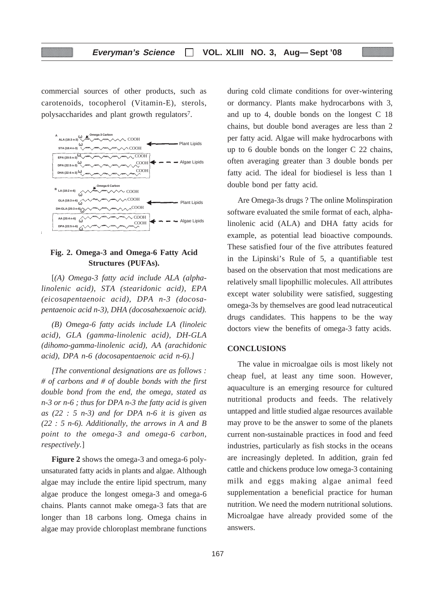commercial sources of other products, such as carotenoids, tocopherol (Vitamin-E), sterols, polysaccharides and plant growth regulators7.



# **Fig. 2. Omega-3 and Omega-6 Fatty Acid Structures (PUFAs).**

[*(A) Omega-3 fatty acid include ALA (alphalinolenic acid), STA (stearidonic acid), EPA (eicosapentaenoic acid), DPA n-3 (docosapentaenoic acid n-3), DHA (docosahexaenoic acid).*

*(B) Omega-6 fatty acids include LA (linoleic acid), GLA (gamma-linolenic acid), DH-GLA (dihomo-gamma-linolenic acid), AA (arachidonic acid), DPA n-6 (docosapentaenoic acid n-6).]*

*[The conventional designations are as follows : # of carbons and # of double bonds with the first double bond from the end, the omega, stated as n-3 or n-6 ; thus for DPA n-3 the fatty acid is given as (22 : 5 n-3) and for DPA n-6 it is given as (22 : 5 n-6). Additionally, the arrows in A and B point to the omega-3 and omega-6 carbon, respectively.*]

**Figure 2** shows the omega-3 and omega-6 polyunsaturated fatty acids in plants and algae. Although algae may include the entire lipid spectrum, many algae produce the longest omega-3 and omega-6 chains. Plants cannot make omega-3 fats that are longer than 18 carbons long. Omega chains in algae may provide chloroplast membrane functions during cold climate conditions for over-wintering or dormancy. Plants make hydrocarbons with 3, and up to 4, double bonds on the longest C 18 chains, but double bond averages are less than 2 per fatty acid. Algae will make hydrocarbons with up to 6 double bonds on the longer C 22 chains, often averaging greater than 3 double bonds per fatty acid. The ideal for biodiesel is less than 1 double bond per fatty acid.

Are Omega-3s drugs ? The online Molinspiration software evaluated the smile format of each, alphalinolenic acid (ALA) and DHA fatty acids for example, as potential lead bioactive compounds. These satisfied four of the five attributes featured in the Lipinski's Rule of 5, a quantifiable test based on the observation that most medications are relatively small lipophillic molecules. All attributes except water solubility were satisfied, suggesting omega-3s by themselves are good lead nutraceutical drugs candidates. This happens to be the way doctors view the benefits of omega-3 fatty acids.

# **CONCLUSIONS**

The value in microalgae oils is most likely not cheap fuel, at least any time soon. However, aquaculture is an emerging resource for cultured nutritional products and feeds. The relatively untapped and little studied algae resources available may prove to be the answer to some of the planets current non-sustainable practices in food and feed industries, particularly as fish stocks in the oceans are increasingly depleted. In addition, grain fed cattle and chickens produce low omega-3 containing milk and eggs making algae animal feed supplementation a beneficial practice for human nutrition. We need the modern nutritional solutions. Microalgae have already provided some of the answers.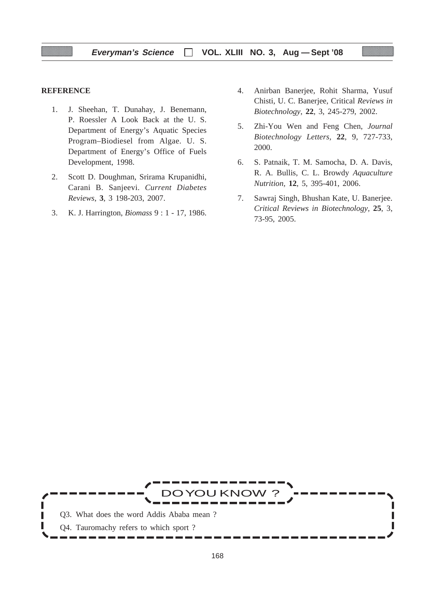# **REFERENCE**

- 1. J. Sheehan, T. Dunahay, J. Benemann, P. Roessler A Look Back at the U. S. Department of Energy's Aquatic Species Program–Biodiesel from Algae. U. S. Department of Energy's Office of Fuels Development, 1998.
- 2. Scott D. Doughman, Srirama Krupanidhi, Carani B. Sanjeevi. *Current Diabetes Reviews*, **3**, 3 198-203, 2007.
- 3. K. J. Harrington, *Biomass* 9 : 1 17, 1986.
- 4. Anirban Banerjee, Rohit Sharma, Yusuf Chisti, U. C. Banerjee, Critical *Reviews in Biotechnology*, **22**, 3, 245-279, 2002.
- 5. Zhi-You Wen and Feng Chen, *Journal Biotechnology Letters,* **22**, 9, 727-733, 2000.
- 6. S. Patnaik, T. M. Samocha, D. A. Davis, R. A. Bullis, C. L. Browdy *Aquaculture Nutrition,* **12**, 5, 395-401, 2006.
- 7. Sawraj Singh, Bhushan Kate, U. Banerjee. *Critical Reviews in Biotechnology,* **25**, 3, 73-95, 2005.

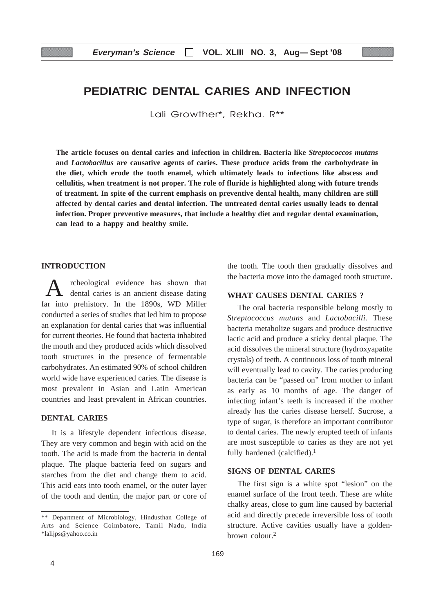# **PEDIATRIC DENTAL CARIES AND INFECTION**

Lali Growther\*, Rekha. R\*\*

**The article focuses on dental caries and infection in children. Bacteria like** *Streptococcos mutans* **and** *Lactobacillus* **are causative agents of caries. These produce acids from the carbohydrate in the diet, which erode the tooth enamel, which ultimately leads to infections like abscess and cellulitis, when treatment is not proper. The role of fluride is highlighted along with future trends of treatment. In spite of the current emphasis on preventive dental health, many children are still affected by dental caries and dental infection. The untreated dental caries usually leads to dental infection. Proper preventive measures, that include a healthy diet and regular dental examination, can lead to a happy and healthy smile.**

# **INTRODUCTION**

rcheological evidence has shown that dental caries is an ancient disease dating far into prehistory. In the 1890s, WD Miller conducted a series of studies that led him to propose an explanation for dental caries that was influential for current theories. He found that bacteria inhabited the mouth and they produced acids which dissolved tooth structures in the presence of fermentable carbohydrates. An estimated 90% of school children world wide have experienced caries. The disease is most prevalent in Asian and Latin American countries and least prevalent in African countries.

# **DENTAL CARIES**

It is a lifestyle dependent infectious disease. They are very common and begin with acid on the tooth. The acid is made from the bacteria in dental plaque. The plaque bacteria feed on sugars and starches from the diet and change them to acid. This acid eats into tooth enamel, or the outer layer of the tooth and dentin, the major part or core of the tooth. The tooth then gradually dissolves and the bacteria move into the damaged tooth structure.

# **WHAT CAUSES DENTAL CARIES ?**

The oral bacteria responsible belong mostly to *Streptococcus mutans* and *Lactobacilli.* These bacteria metabolize sugars and produce destructive lactic acid and produce a sticky dental plaque. The acid dissolves the mineral structure (hydroxyapatite crystals) of teeth. A continuous loss of tooth mineral will eventually lead to cavity. The caries producing bacteria can be "passed on" from mother to infant as early as 10 months of age. The danger of infecting infant's teeth is increased if the mother already has the caries disease herself. Sucrose, a type of sugar, is therefore an important contributor to dental caries. The newly erupted teeth of infants are most susceptible to caries as they are not yet fully hardened (calcified).<sup>1</sup>

## **SIGNS OF DENTAL CARIES**

The first sign is a white spot "lesion" on the enamel surface of the front teeth. These are white chalky areas, close to gum line caused by bacterial acid and directly precede irreversible loss of tooth structure. Active cavities usually have a goldenbrown colour.2

<sup>\*\*</sup> Department of Microbiology, Hindusthan College of Arts and Science Coimbatore, Tamil Nadu, India \*lalijps@yahoo.co.in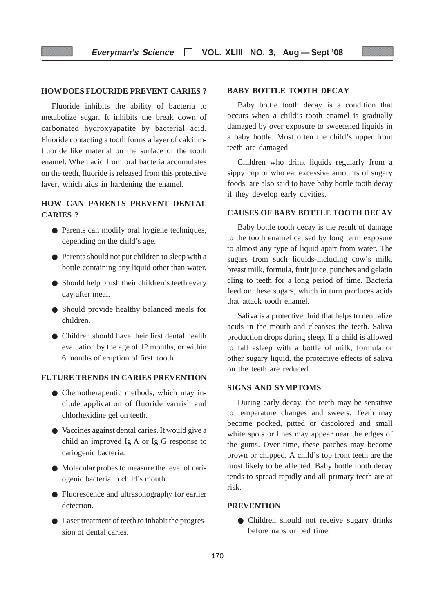# **HOWDOES FLOURIDE PREVENT CARIES ?**

Fluoride inhibits the ability of bacteria to metabolize sugar. It inhibits the break down of carbonated hydroxyapatite by bacterial acid. Fluoride contacting a tooth forms a layer of calciumfluoride like material on the surface of the tooth enamel. When acid from oral bacteria accumulates on the teeth, fluoride is released from this protective layer, which aids in hardening the enamel.

# **HOW CAN PARENTS PREVENT DENTAL CARIES ?**

- Parents can modify oral hygiene techniques, depending on the child's age.
- Parents should not put children to sleep with a bottle containing any liquid other than water.
- Should help brush their children's teeth every day after meal.
- Should provide healthy balanced meals for children.
- Children should have their first dental health evaluation by the age of 12 months, or within 6 months of eruption of first tooth.

# **FUTURE TRENDS IN CARIES PREVENTION**

- Chemotherapeutic methods, which may include application of fluoride varnish and chlorhexidine gel on teeth.
- Vaccines against dental caries. It would give a child an improved Ig A or Ig G response to cariogenic bacteria.
- Molecular probes to measure the level of cariogenic bacteria in child's mouth.
- Fluorescence and ultrasonography for earlier detection.
- Laser treatment of teeth to inhabit the progression of dental caries.

# **BABY BOTTLE TOOTH DECAY**

Baby bottle tooth decay is a condition that occurs when a child's tooth enamel is gradually damaged by over exposure to sweetened liquids in a baby bottle. Most often the child's upper front teeth are damaged.

Children who drink liquids regularly from a sippy cup or who eat excessive amounts of sugary foods, are also said to have baby bottle tooth decay if they develop early cavities.

# **CAUSES OF BABY BOTTLE TOOTH DECAY**

Baby bottle tooth decay is the result of damage to the tooth enamel caused by long term exposure to almost any type of liquid apart from water. The sugars from such liquids-including cow's milk, breast milk, formula, fruit juice, punches and gelatin cling to teeth for a long period of time. Bacteria feed on these sugars, which in turn produces acids that attack tooth enamel.

Saliva is a protective fluid that helps to neutralize acids in the mouth and cleanses the teeth. Saliva production drops during sleep. If a child is allowed to fall asleep with a bottle of milk, formula or other sugary liquid, the protective effects of saliva on the teeth are reduced.

# **SIGNS AND SYMPTOMS**

During early decay, the teeth may be sensitive to temperature changes and sweets. Teeth may become pocked, pitted or discolored and small white spots or lines may appear near the edges of the gums. Over time, these patches may become brown or chipped. A child's top front teeth are the most likely to be affected. Baby bottle tooth decay tends to spread rapidly and all primary teeth are at risk.

# **PREVENTION**

● Children should not receive sugary drinks before naps or bed time.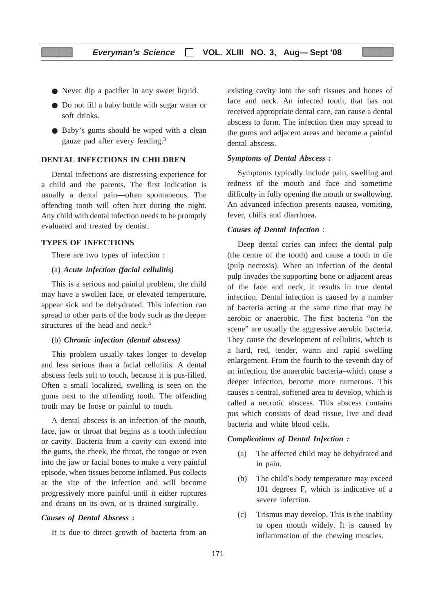- Never dip a pacifier in any sweet liquid.
- Do not fill a baby bottle with sugar water or soft drinks.
- Baby's gums should be wiped with a clean gauze pad after every feeding.3

#### **DENTAL INFECTIONS IN CHILDREN**

Dental infections are distressing experience for a child and the parents. The first indication is usually a dental pain—often spontaneous. The offending tooth will often hurt during the night. Any child with dental infection needs to be promptly evaluated and treated by dentist.

#### **TYPES OF INFECTIONS**

There are two types of infection :

#### (a) *Acute infection (facial cellulitis)*

This is a serious and painful problem, the child may have a swollen face, or elevated temperature, appear sick and be dehydrated. This infection can spread to other parts of the body such as the deeper structures of the head and neck.<sup>4</sup>

## (b) *Chronic infection (dental abscess)*

This problem usually takes longer to develop and less serious than a facial cellulitis. A dental abscess feels soft to touch, because it is pus-filled. Often a small localized, swelling is seen on the gums next to the offending tooth. The offending tooth may be loose or painful to touch.

A dental abscess is an infection of the mouth, face, jaw or throat that begins as a tooth infection or cavity. Bacteria from a cavity can extend into the gums, the cheek, the throat, the tongue or even into the jaw or facial bones to make a very painful episode, when tissues become inflamed. Pus collects at the site of the infection and will become progressively more painful until it either ruptures and drains on its own, or is drained surgically.

# *Causes of Dental Abscess* **:**

It is due to direct growth of bacteria from an

existing cavity into the soft tissues and bones of face and neck. An infected tooth, that has not received appropriate dental care, can cause a dental abscess to form. The infection then may spread to the gums and adjacent areas and become a painful dental abscess.

# *Symptoms of Dental Abscess :*

Symptoms typically include pain, swelling and redness of the mouth and face and sometime difficulty in fully opening the mouth or swallowing. An advanced infection presents nausea, vomiting, fever, chills and diarrhoea.

# *Causes of Dental Infection* :

Deep dental caries can infect the dental pulp (the centre of the tooth) and cause a tooth to die (pulp necrosis). When an infection of the dental pulp invades the supporting bone or adjacent areas of the face and neck, it results in true dental infection. Dental infection is caused by a number of bacteria acting at the same time that may be aerobic or anaerobic. The first bacteria "on the scene" are usually the aggressive aerobic bacteria. They cause the development of cellulitis, which is a hard, red, tender, warm and rapid swelling enlargement. From the fourth to the seventh day of an infection, the anaerobic bacteria–which cause a deeper infection, become more numerous. This causes a central, softened area to develop, which is called a necrotic abscess. This abscess contains pus which consists of dead tissue, live and dead bacteria and white blood cells.

#### *Complications of Dental Infection :*

- (a) The affected child may be dehydrated and in pain.
- (b) The child's body temperature may exceed 101 degrees F, which is indicative of a severe infection.
- (c) Trismus may develop. This is the inability to open mouth widely. It is caused by inflammation of the chewing muscles.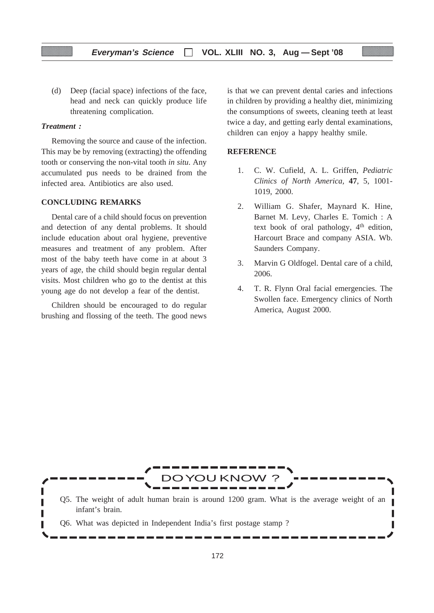(d) Deep (facial space) infections of the face, head and neck can quickly produce life threatening complication.

# *Treatment :*

Removing the source and cause of the infection. This may be by removing (extracting) the offending tooth or conserving the non-vital tooth *in situ*. Any accumulated pus needs to be drained from the infected area. Antibiotics are also used.

# **CONCLUDING REMARKS**

Dental care of a child should focus on prevention and detection of any dental problems. It should include education about oral hygiene, preventive measures and treatment of any problem. After most of the baby teeth have come in at about 3 years of age, the child should begin regular dental visits. Most children who go to the dentist at this young age do not develop a fear of the dentist.

Children should be encouraged to do regular brushing and flossing of the teeth. The good news

is that we can prevent dental caries and infections in children by providing a healthy diet, minimizing the consumptions of sweets, cleaning teeth at least twice a day, and getting early dental examinations, children can enjoy a happy healthy smile.

# **REFERENCE**

- 1. C. W. Cufield, A. L. Griffen, *Pediatric Clinics of North America,* **47**, 5, 1001- 1019, 2000.
- 2. William G. Shafer, Maynard K. Hine, Barnet M. Levy, Charles E. Tomich : A text book of oral pathology, 4<sup>th</sup> edition, Harcourt Brace and company ASIA. Wb. Saunders Company.
- 3. Marvin G Oldfogel. Dental care of a child, 2006.
- 4. T. R. Flynn Oral facial emergencies. The Swollen face. Emergency clinics of North America, August 2000.

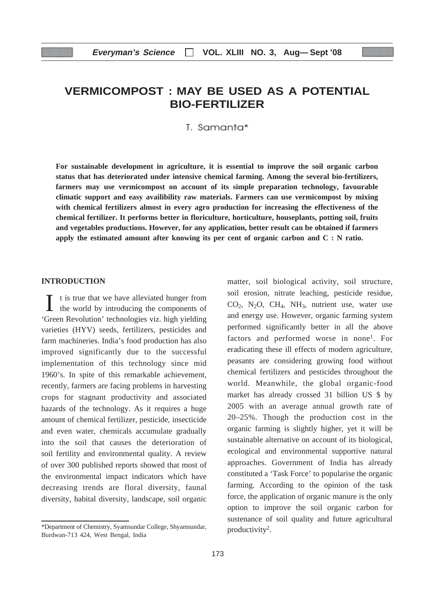# **VERMICOMPOST : MAY BE USED AS A POTENTIAL BIO-FERTILIZER**

T. Samanta\*

**For sustainable development in agriculture, it is essential to improve the soil organic carbon status that has deteriorated under intensive chemical farming. Among the several bio-fertilizers, farmers may use vermicompost on account of its simple preparation technology, favourable climatic support and easy availibility raw materials. Farmers can use vermicompost by mixing with chemical fertilizers almost in every agro production for increasing the effectiveness of the chemical fertilizer. It performs better in floriculture, horticulture, houseplants, potting soil, fruits and vegetables productions. However, for any application, better result can be obtained if farmers apply the estimated amount after knowing its per cent of organic carbon and C : N ratio.**

# **INTRODUCTION**

I t is true that we have alleviated hunger from the world by introducing the components of 'Green Revolution' technologies viz. high yielding varieties (HYV) seeds, fertilizers, pesticides and farm machineries. India's food production has also improved significantly due to the successful implementation of this technology since mid 1960's. In spite of this remarkable achievement, recently, farmers are facing problems in harvesting crops for stagnant productivity and associated hazards of the technology. As it requires a huge amount of chemical fertilizer, pesticide, insecticide and even water, chemicals accumulate gradually into the soil that causes the deterioration of soil fertility and environmental quality. A review of over 300 published reports showed that most of the environmental impact indicators which have decreasing trends are floral diversity, faunal diversity, habital diversity, landscape, soil organic

matter, soil biological activity, soil structure, soil erosion, nitrate leaching, pesticide residue,  $CO<sub>2</sub>$ , N<sub>2</sub>O, CH<sub>4</sub>, NH<sub>3</sub>, nutrient use, water use and energy use. However, organic farming system performed significantly better in all the above factors and performed worse in none<sup>1</sup>. For eradicating these ill effects of modern agriculture, peasants are considering growing food without chemical fertilizers and pesticides throughout the world. Meanwhile, the global organic-food market has already crossed 31 billion US \$ by 2005 with an average annual growth rate of 20–25%. Though the production cost in the organic farming is slightly higher, yet it will be sustainable alternative on account of its biological, ecological and environmental supportive natural approaches. Government of India has already constituted a 'Task Force' to popularise the organic farming. According to the opinion of the task force, the application of organic manure is the only option to improve the soil organic carbon for sustenance of soil quality and future agricultural productivity2.

<sup>\*</sup>Department of Chemistry, Syamsundar College, Shyamsundar, Burdwan-713 424, West Bengal, India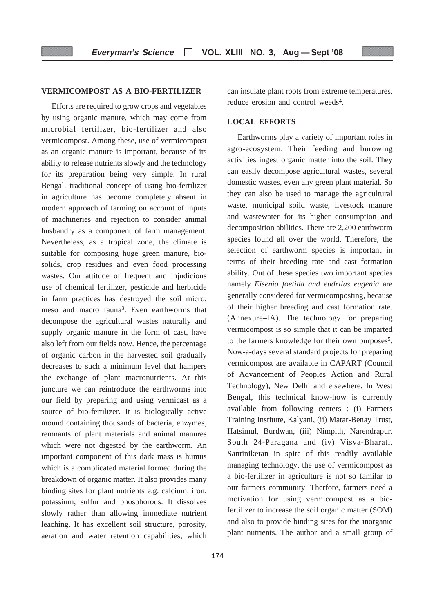# **VERMICOMPOST AS A BIO-FERTILIZER**

Efforts are required to grow crops and vegetables by using organic manure, which may come from microbial fertilizer, bio-fertilizer and also vermicompost. Among these, use of vermicompost as an organic manure is important, because of its ability to release nutrients slowly and the technology for its preparation being very simple. In rural Bengal, traditional concept of using bio-fertilizer in agriculture has become completely absent in modern approach of farming on account of inputs of machineries and rejection to consider animal husbandry as a component of farm management. Nevertheless, as a tropical zone, the climate is suitable for composing huge green manure, biosolids, crop residues and even food processing wastes. Our attitude of frequent and injudicious use of chemical fertilizer, pesticide and herbicide in farm practices has destroyed the soil micro, meso and macro fauna3. Even earthworms that decompose the agricultural wastes naturally and supply organic manure in the form of cast, have also left from our fields now. Hence, the percentage of organic carbon in the harvested soil gradually decreases to such a minimum level that hampers the exchange of plant macronutrients. At this juncture we can reintroduce the earthworms into our field by preparing and using vermicast as a source of bio-fertilizer. It is biologically active mound containing thousands of bacteria, enzymes, remnants of plant materials and animal manures which were not digested by the earthworm. An important component of this dark mass is humus which is a complicated material formed during the breakdown of organic matter. It also provides many binding sites for plant nutrients e.g. calcium, iron, potassium, sulfur and phosphorous. It dissolves slowly rather than allowing immediate nutrient leaching. It has excellent soil structure, porosity, aeration and water retention capabilities, which can insulate plant roots from extreme temperatures, reduce erosion and control weeds4.

# **LOCAL EFFORTS**

Earthworms play a variety of important roles in agro-ecosystem. Their feeding and burowing activities ingest organic matter into the soil. They can easily decompose agricultural wastes, several domestic wastes, even any green plant material. So they can also be used to manage the agricultural waste, municipal soild waste, livestock manure and wastewater for its higher consumption and decomposition abilities. There are 2,200 earthworm species found all over the world. Therefore, the selection of earthworm species is important in terms of their breeding rate and cast formation ability. Out of these species two important species namely *Eisenia foetida and eudrilus eugenia* are generally considered for vermicomposting, because of their higher breeding and cast formation rate. (Annexure–IA). The technology for preparing vermicompost is so simple that it can be imparted to the farmers knowledge for their own purposes<sup>5</sup>. Now-a-days several standard projects for preparing vermicompost are available in CAPART (Council of Advancement of Peoples Action and Rural Technology), New Delhi and elsewhere. In West Bengal, this technical know-how is currently available from following centers : (i) Farmers Training Institute, Kalyani, (ii) Matar-Benay Trust, Hatsimul, Burdwan, (iii) Nimpith, Narendrapur. South 24-Paragana and (iv) Visva-Bharati, Santiniketan in spite of this readily available managing technology, the use of vermicompost as a bio-fertilizer in agriculture is not so familar to our farmers community. Therfore, farmers need a motivation for using vermicompost as a biofertilizer to increase the soil organic matter (SOM) and also to provide binding sites for the inorganic plant nutrients. The author and a small group of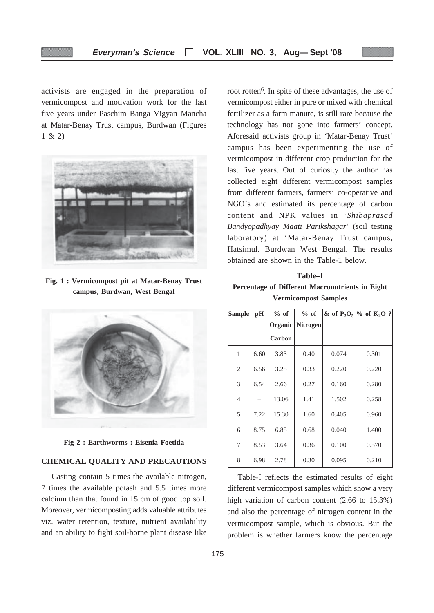activists are engaged in the preparation of vermicompost and motivation work for the last five years under Paschim Banga Vigyan Mancha at Matar-Benay Trust campus, Burdwan (Figures 1 & 2)



**Fig. 1 : Vermicompost pit at Matar-Benay Trust campus, Burdwan, West Bengal**



**Fig 2 : Earthworms : Eisenia Foetida**

# **CHEMICAL QUALITY AND PRECAUTIONS**

Casting contain 5 times the available nitrogen, 7 times the available potash and 5.5 times more calcium than that found in 15 cm of good top soil. Moreover, vermicomposting adds valuable attributes viz. water retention, texture, nutrient availability and an ability to fight soil-borne plant disease like

root rotten<sup>6</sup>. In spite of these advantages, the use of vermicompost either in pure or mixed with chemical fertilizer as a farm manure, is still rare because the technology has not gone into farmers' concept. Aforesaid activists group in 'Matar-Benay Trust' campus has been experimenting the use of vermicompost in different crop production for the last five years. Out of curiosity the author has collected eight different vermicompost samples from different farmers, farmers' co-operative and NGO's and estimated its percentage of carbon content and NPK values in '*Shibaprasad Bandyopadhyay Maati Parikshagar*' (soil testing laboratory) at 'Matar-Benay Trust campus, Hatsimul. Burdwan West Bengal. The results obtained are shown in the Table-1 below.

# **Table–I Percentage of Different Macronutrients in Eight Vermicompost Samples**

| <b>Sample</b>  | pH   | $%$ of  | $%$ of          |       | & of $P_2O_5$ % of $K_2O$ ? |
|----------------|------|---------|-----------------|-------|-----------------------------|
|                |      | Organic | <b>Nitrogen</b> |       |                             |
|                |      | Carbon  |                 |       |                             |
| 1              | 6.60 | 3.83    | 0.40            | 0.074 | 0.301                       |
| $\overline{2}$ | 6.56 | 3.25    | 0.33            | 0.220 | 0.220                       |
| 3              | 6.54 | 2.66    | 0.27            | 0.160 | 0.280                       |
| $\overline{4}$ |      | 13.06   | 1.41            | 1.502 | 0.258                       |
| 5              | 7.22 | 15.30   | 1.60            | 0.405 | 0.960                       |
| 6              | 8.75 | 6.85    | 0.68            | 0.040 | 1.400                       |
| 7              | 8.53 | 3.64    | 0.36            | 0.100 | 0.570                       |
| 8              | 6.98 | 2.78    | 0.30            | 0.095 | 0.210                       |

Table-I reflects the estimated results of eight different vermicompost samples which show a very high variation of carbon content (2.66 to 15.3%) and also the percentage of nitrogen content in the vermicompost sample, which is obvious. But the problem is whether farmers know the percentage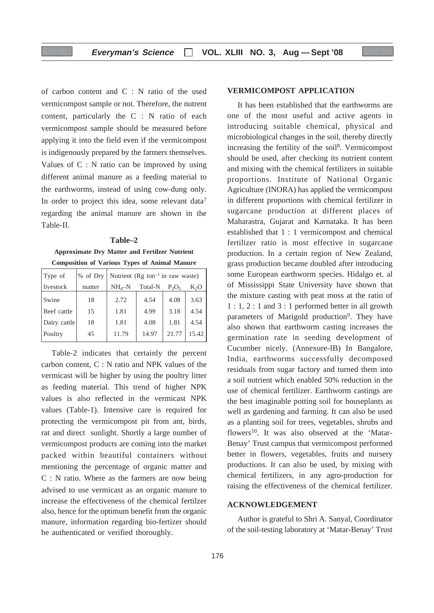of carbon content and C : N ratio of the used vermicompost sample or not. Therefore, the nutrent content, particularly the C : N ratio of each vermicompost sample should be measured before applying it into the field even if the vermicompost is indigenously prepared by the farmers themselves. Values of C : N ratio can be improved by using different animal manure as a feeding material to the earthworms, instead of using cow-dung only. In order to project this idea, some relevant data<sup>7</sup> regarding the animal manure are shown in the Table-II.

**Table–2 Approximate Dry Matter and Fertilzer Nutrient Composition of Various Types of Animal Manure**

| Type of      | $%$ of Dry | Nutrient ( $\text{Rg}$ ton <sup>-1</sup> in raw waste) |       |          |        |
|--------------|------------|--------------------------------------------------------|-------|----------|--------|
| livestock    | matter     | $NH_A-N$<br>Total-N                                    |       | $P_2O_5$ | $K_2O$ |
| Swine        | 18         | 2.72                                                   | 4.54  | 4.08     | 3.63   |
| Beef cattle  | 15         | 1.81                                                   | 4.99  | 3.18     | 4.54   |
| Dairy cattle | 18         | 1.81                                                   | 4.08  | 1.81     | 4.54   |
| Poultry      | 45         | 11.79                                                  | 14.97 | 21.77    | 15.42  |

Table-2 indicates that certainly the percent carbon content, C : N ratio and NPK values of the vermicast will be higher by using the poultry litter as feeding material. This trend of higher NPK values is also reflected in the vermicast NPK values (Table-1). Intensive care is required for protecting the vermicompost pit from ant, birds, rat and direct sunlight. Shortly a large number of vermicompost products are coming into the market packed within beautiful containers without mentioning the percentage of organic matter and C : N ratio. Where as the farmers are now being advised to use vermicast as an organic manure to increase the effectiveness of the chemical fertilzer also, hence for the optimum benefit from the organic manure, information regarding bio-fertizer should be authenticated or verified thoroughly.

# **VERMICOMPOST APPLICATION**

It has been established that the earthworms are one of the most useful and active agents in introducing suitable chemical, physical and microbiological changes in the soil, thereby directly increasing the fertility of the soil8. Vermicompost should be used, after checking its nutrient content and mixing with the chemical fertilizers in suitable proportions. Institute of National Organic Agriculture (INORA) has applied the vermicompost in different proportions with chemical fertilizer in sugarcane production at different places of Maharastra, Gujarat and Karnataka. It has been established that 1 : 1 vermicompost and chemical fertilizer ratio is most effective in sugarcane production. In a certain region of New Zealand, grass production became doubled after introducing some European earthworm species. Hidalgo et. al of Mississippi State University have shown that the mixture casting with peat moss at the ratio of 1 : 1, 2 : 1 and 3 : 1 performed better in all growth parameters of Marigold production<sup>9</sup>. They have also shown that earthworm casting increases the germination rate in seeding development of Cucumber nicely. (Annexure-IB) In Bangalore, India, earthworms successfully decomposed residuals from sugar factory and turned them into a soil nutrient which enabled 50% reduction in the use of chemical fertilizer. Earthworm castings are the best imaginable potting soil for houseplants as well as gardening and farming. It can also be used as a planting soil for trees, vegetables, shrubs and flowers<sup>10</sup>. It was also observed at the 'Matar-Benay' Trust campus that vermicompost performed better in flowers, vegetables, fruits and nursery productions. It can also be used, by mixing with chemical fertilizers, in any agro-production for raising the effectiveness of the chemical fertilizer.

#### **ACKNOWLEDGEMENT**

Author is grateful to Shri A. Sanyal, Coordinator of the soil-testing laboratory at 'Matar-Benay' Trust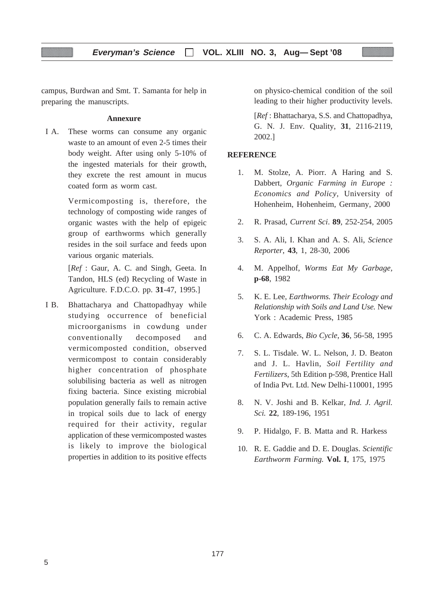campus, Burdwan and Smt. T. Samanta for help in preparing the manuscripts.

# **Annexure**

I A. These worms can consume any organic waste to an amount of even 2-5 times their body weight. After using only 5-10% of the ingested materials for their growth, they excrete the rest amount in mucus coated form as worm cast.

> Vermicomposting is, therefore, the technology of composting wide ranges of organic wastes with the help of epigeic group of earthworms which generally resides in the soil surface and feeds upon various organic materials.

> [*Ref* : Gaur, A. C. and Singh, Geeta. In Tandon, HLS (ed) Recycling of Waste in Agriculture. F.D.C.O. pp. **31**-47, 1995.]

I B. Bhattacharya and Chattopadhyay while studying occurrence of beneficial microorganisms in cowdung under conventionally decomposed and vermicomposted condition, observed vermicompost to contain considerably higher concentration of phosphate solubilising bacteria as well as nitrogen fixing bacteria. Since existing microbial population generally fails to remain active in tropical soils due to lack of energy required for their activity, regular application of these vermicomposted wastes is likely to improve the biological properties in addition to its positive effects on physico-chemical condition of the soil leading to their higher productivity levels.

[*Ref* : Bhattacharya, S.S. and Chattopadhya, G. N. J. Env. Quality, **31**, 2116-2119, 2002.]

# **REFERENCE**

- 1. M. Stolze, A. Piorr. A Haring and S. Dabbert, *Organic Farming in Europe : Economics and Policy,* University of Hohenheim, Hohenheim, Germany, 2000
- 2. R. Prasad, *Current Sci*. **89**, 252-254, 2005
- 3. S. A. Ali, I. Khan and A. S. Ali, *Science Reporter*, **43**, 1, 28-30, 2006
- 4. M. Appelhof, *Worms Eat My Garbage,* **p-68**, 1982
- 5. K. E. Lee, *Earthworms. Their Ecology and Relationship with Soils and Land Use.* New York : Academic Press, 1985
- 6. C. A. Edwards, *Bio Cycle*, **36**, 56-58, 1995
- 7. S. L. Tisdale. W. L. Nelson, J. D. Beaton and J. L. Havlin, *Soil Fertility and Fertilizers*, 5th Edition p-598, Prentice Hall of India Pvt. Ltd. New Delhi-110001, 1995
- 8. N. V. Joshi and B. Kelkar, *Ind. J. Agril. Sci.* **22**, 189-196, 1951
- 9. P. Hidalgo, F. B. Matta and R. Harkess
- 10. R. E. Gaddie and D. E. Douglas. *Scientific Earthworm Farming.* **Vol. I**, 175, 1975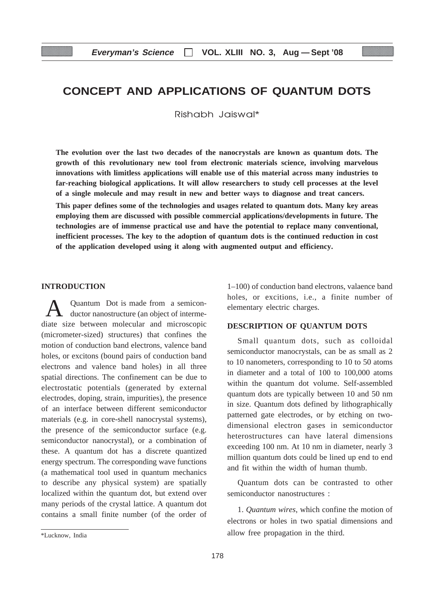# **CONCEPT AND APPLICATIONS OF QUANTUM DOTS**

Rishabh Jaiswal\*

**The evolution over the last two decades of the nanocrystals are known as quantum dots. The growth of this revolutionary new tool from electronic materials science, involving marvelous innovations with limitless applications will enable use of this material across many industries to far-reaching biological applications. It will allow researchers to study cell processes at the level of a single molecule and may result in new and better ways to diagnose and treat cancers.**

**This paper defines some of the technologies and usages related to quantum dots. Many key areas employing them are discussed with possible commercial applications/developments in future. The technologies are of immense practical use and have the potential to replace many conventional, inefficient processes. The key to the adoption of quantum dots is the continued reduction in cost of the application developed using it along with augmented output and efficiency.**

# **INTRODUCTION**

Quantum Dot is made from a semiconductor nanostructure (an object of intermediate size between molecular and microscopic (micrometer-sized) structures) that confines the motion of conduction band electrons, valence band holes, or excitons (bound pairs of conduction band electrons and valence band holes) in all three spatial directions. The confinement can be due to electrostatic potentials (generated by external electrodes, doping, strain, impurities), the presence of an interface between different semiconductor materials (e.g. in core-shell nanocrystal systems), the presence of the semiconductor surface (e.g. semiconductor nanocrystal), or a combination of these. A quantum dot has a discrete quantized energy spectrum. The corresponding wave functions (a mathematical tool used in quantum mechanics to describe any physical system) are spatially localized within the quantum dot, but extend over many periods of the crystal lattice. A quantum dot contains a small finite number (of the order of 1–100) of conduction band electrons, valaence band holes, or excitions, i.e., a finite number of elementary electric charges.

# **DESCRIPTION OF QUANTUM DOTS**

Small quantum dots, such as colloidal semiconductor manocrystals, can be as small as 2 to 10 nanometers, corresponding to 10 to 50 atoms in diameter and a total of 100 to 100,000 atoms within the quantum dot volume. Self-assembled quantum dots are typically between 10 and 50 nm in size. Quantum dots defined by lithographically patterned gate electrodes, or by etching on twodimensional electron gases in semiconductor heterostructures can have lateral dimensions exceeding 100 nm. At 10 nm in diameter, nearly 3 million quantum dots could be lined up end to end and fit within the width of human thumb.

Quantum dots can be contrasted to other semiconductor nanostructures :

1. *Quantum wires*, which confine the motion of electrons or holes in two spatial dimensions and allow free propagation in the third.

<sup>\*</sup>Lucknow, India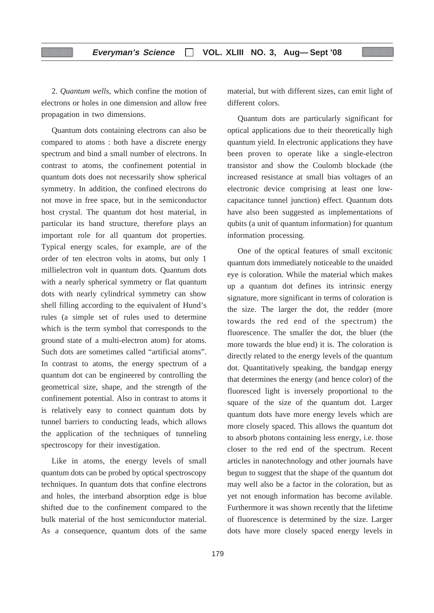2. *Quantum wells*, which confine the motion of electrons or holes in one dimension and allow free propagation in two dimensions.

Quantum dots containing electrons can also be compared to atoms : both have a discrete energy spectrum and bind a small number of electrons. In contrast to atoms, the confinement potential in quantum dots does not necessarily show spherical symmetry. In addition, the confined electrons do not move in free space, but in the semiconductor host crystal. The quantum dot host material, in particular its band structure, therefore plays an important role for all quantum dot properties. Typical energy scales, for example, are of the order of ten electron volts in atoms, but only 1 millielectron volt in quantum dots. Quantum dots with a nearly spherical symmetry or flat quantum dots with nearly cylindrical symmetry can show shell filling according to the equivalent of Hund's rules (a simple set of rules used to determine which is the term symbol that corresponds to the ground state of a multi-electron atom) for atoms. Such dots are sometimes called "artificial atoms". In contrast to atoms, the energy spectrum of a quantum dot can be engineered by controlling the geometrical size, shape, and the strength of the confinement potential. Also in contrast to atoms it is relatively easy to connect quantum dots by tunnel barriers to conducting leads, which allows the application of the techniques of tunneling spectroscopy for their investigation.

Like in atoms, the energy levels of small quantum dots can be probed by optical spectroscopy techniques. In quantum dots that confine electrons and holes, the interband absorption edge is blue shifted due to the confinement compared to the bulk material of the host semiconductor material. As a consequence, quantum dots of the same material, but with different sizes, can emit light of different colors

Quantum dots are particularly significant for optical applications due to their theoretically high quantum yield. In electronic applications they have been proven to operate like a single-electron transistor and show the Coulomb blockade (the increased resistance at small bias voltages of an electronic device comprising at least one lowcapacitance tunnel junction) effect. Quantum dots have also been suggested as implementations of qubits (a unit of quantum information) for quantum information processing.

One of the optical features of small excitonic quantum dots immediately noticeable to the unaided eye is coloration. While the material which makes up a quantum dot defines its intrinsic energy signature, more significant in terms of coloration is the size. The larger the dot, the redder (more towards the red end of the spectrum) the fluorescence. The smaller the dot, the bluer (the more towards the blue end) it is. The coloration is directly related to the energy levels of the quantum dot. Quantitatively speaking, the bandgap energy that determines the energy (and hence color) of the fluoresced light is inversely proportional to the square of the size of the quantum dot. Larger quantum dots have more energy levels which are more closely spaced. This allows the quantum dot to absorb photons containing less energy, i.e. those closer to the red end of the spectrum. Recent articles in nanotechnology and other journals have begun to suggest that the shape of the quantum dot may well also be a factor in the coloration, but as yet not enough information has become avilable. Furthermore it was shown recently that the lifetime of fluorescence is determined by the size. Larger dots have more closely spaced energy levels in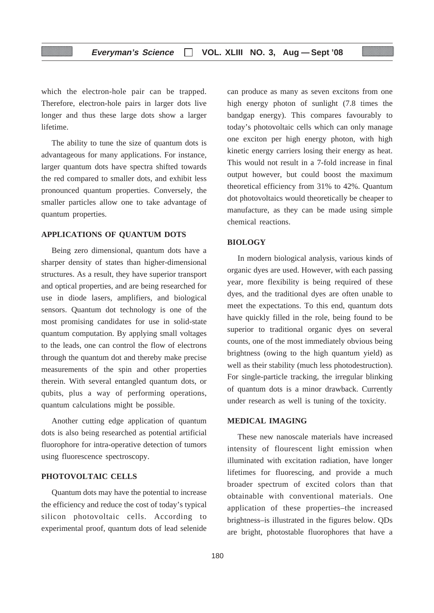which the electron-hole pair can be trapped. Therefore, electron-hole pairs in larger dots live longer and thus these large dots show a larger lifetime.

The ability to tune the size of quantum dots is advantageous for many applications. For instance, larger quantum dots have spectra shifted towards the red compared to smaller dots, and exhibit less pronounced quantum properties. Conversely, the smaller particles allow one to take advantage of quantum properties.

# **APPLICATIONS OF QUANTUM DOTS**

Being zero dimensional, quantum dots have a sharper density of states than higher-dimensional structures. As a result, they have superior transport and optical properties, and are being researched for use in diode lasers, amplifiers, and biological sensors. Quantum dot technology is one of the most promising candidates for use in solid-state quantum computation. By applying small voltages to the leads, one can control the flow of electrons through the quantum dot and thereby make precise measurements of the spin and other properties therein. With several entangled quantum dots, or qubits, plus a way of performing operations, quantum calculations might be possible.

Another cutting edge application of quantum dots is also being researched as potential artificial fluorophore for intra-operative detection of tumors using fluorescence spectroscopy.

# **PHOTOVOLTAIC CELLS**

Quantum dots may have the potential to increase the efficiency and reduce the cost of today's typical silicon photovoltaic cells. According to experimental proof, quantum dots of lead selenide can produce as many as seven excitons from one high energy photon of sunlight (7.8 times the bandgap energy). This compares favourably to today's photovoltaic cells which can only manage one exciton per high energy photon, with high kinetic energy carriers losing their energy as heat. This would not result in a 7-fold increase in final output however, but could boost the maximum theoretical efficiency from 31% to 42%. Quantum dot photovoltaics would theoretically be cheaper to manufacture, as they can be made using simple chemical reactions.

# **BIOLOGY**

In modern biological analysis, various kinds of organic dyes are used. However, with each passing year, more flexibility is being required of these dyes, and the traditional dyes are often unable to meet the expectations. To this end, quantum dots have quickly filled in the role, being found to be superior to traditional organic dyes on several counts, one of the most immediately obvious being brightness (owing to the high quantum yield) as well as their stability (much less photodestruction). For single-particle tracking, the irregular blinking of quantum dots is a minor drawback. Currently under research as well is tuning of the toxicity.

# **MEDICAL IMAGING**

These new nanoscale materials have increased intensity of flourescent light emission when illuminated with excitation radiation, have longer lifetimes for fluorescing, and provide a much broader spectrum of excited colors than that obtainable with conventional materials. One application of these properties–the increased brightness–is illustrated in the figures below. QDs are bright, photostable fluorophores that have a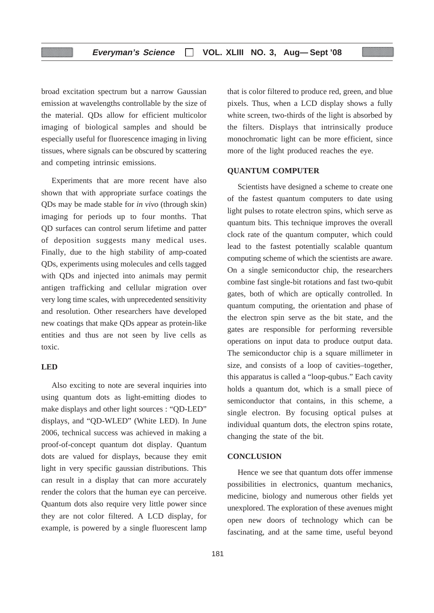broad excitation spectrum but a narrow Gaussian emission at wavelengths controllable by the size of the material. QDs allow for efficient multicolor imaging of biological samples and should be especially useful for fluorescence imaging in living tissues, where signals can be obscured by scattering and competing intrinsic emissions.

Experiments that are more recent have also shown that with appropriate surface coatings the QDs may be made stable for *in vivo* (through skin) imaging for periods up to four months. That QD surfaces can control serum lifetime and patter of deposition suggests many medical uses. Finally, due to the high stability of amp-coated QDs, experiments using molecules and cells tagged with QDs and injected into animals may permit antigen trafficking and cellular migration over very long time scales, with unprecedented sensitivity and resolution. Other researchers have developed new coatings that make QDs appear as protein-like entities and thus are not seen by live cells as toxic.

# **LED**

Also exciting to note are several inquiries into using quantum dots as light-emitting diodes to make displays and other light sources : "QD-LED" displays, and "QD-WLED" (White LED). In June 2006, technical success was achieved in making a proof-of-concept quantum dot display. Quantum dots are valued for displays, because they emit light in very specific gaussian distributions. This can result in a display that can more accurately render the colors that the human eye can perceive. Quantum dots also require very little power since they are not color filtered. A LCD display, for example, is powered by a single fluorescent lamp that is color filtered to produce red, green, and blue pixels. Thus, when a LCD display shows a fully white screen, two-thirds of the light is absorbed by the filters. Displays that intrinsically produce monochromatic light can be more efficient, since more of the light produced reaches the eye.

# **QUANTUM COMPUTER**

Scientists have designed a scheme to create one of the fastest quantum computers to date using light pulses to rotate electron spins, which serve as quantum bits. This technique improves the overall clock rate of the quantum computer, which could lead to the fastest potentially scalable quantum computing scheme of which the scientists are aware. On a single semiconductor chip, the researchers combine fast single-bit rotations and fast two-qubit gates, both of which are optically controlled. In quantum computing, the orientation and phase of the electron spin serve as the bit state, and the gates are responsible for performing reversible operations on input data to produce output data. The semiconductor chip is a square millimeter in size, and consists of a loop of cavities–together, this apparatus is called a "loop-qubus." Each cavity holds a quantum dot, which is a small piece of semiconductor that contains, in this scheme, a single electron. By focusing optical pulses at individual quantum dots, the electron spins rotate, changing the state of the bit.

# **CONCLUSION**

Hence we see that quantum dots offer immense possibilities in electronics, quantum mechanics, medicine, biology and numerous other fields yet unexplored. The exploration of these avenues might open new doors of technology which can be fascinating, and at the same time, useful beyond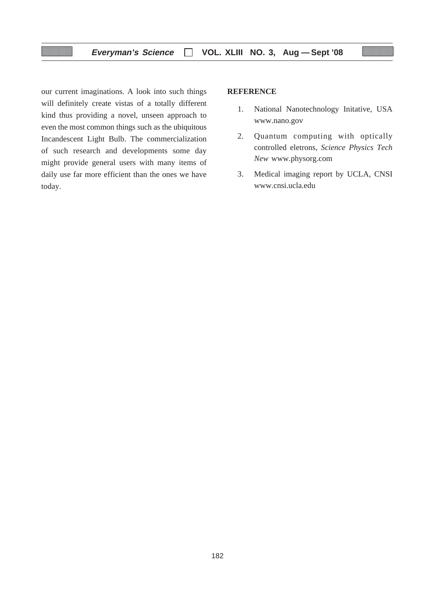our current imaginations. A look into such things will definitely create vistas of a totally different kind thus providing a novel, unseen approach to even the most common things such as the ubiquitous Incandescent Light Bulb. The commercialization of such research and developments some day might provide general users with many items of daily use far more efficient than the ones we have today.

# **REFERENCE**

- 1. National Nanotechnology Initative, USA www.nano.gov
- 2. Quantum computing with optically controlled eletrons, *Science Physics Tech New* www.physorg.com
- 3. Medical imaging report by UCLA, CNSI www.cnsi.ucla.edu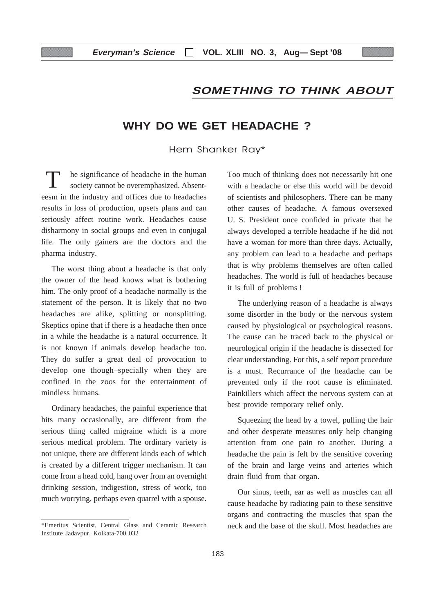# **SOMETHING TO THINK ABOUT**

# **WHY DO WE GET HEADACHE ?**

Hem Shanker Ray\*

he significance of headache in the human society cannot be overemphasized. Absenteesm in the industry and offices due to headaches results in loss of production, upsets plans and can seriously affect routine work. Headaches cause disharmony in social groups and even in conjugal life. The only gainers are the doctors and the pharma industry.

The worst thing about a headache is that only the owner of the head knows what is bothering him. The only proof of a headache normally is the statement of the person. It is likely that no two headaches are alike, splitting or nonsplitting. Skeptics opine that if there is a headache then once in a while the headache is a natural occurrence. It is not known if animals develop headache too. They do suffer a great deal of provocation to develop one though–specially when they are confined in the zoos for the entertainment of mindless humans.

Ordinary headaches, the painful experience that hits many occasionally, are different from the serious thing called migraine which is a more serious medical problem. The ordinary variety is not unique, there are different kinds each of which is created by a different trigger mechanism. It can come from a head cold, hang over from an overnight drinking session, indigestion, stress of work, too much worrying, perhaps even quarrel with a spouse. Too much of thinking does not necessarily hit one with a headache or else this world will be devoid of scientists and philosophers. There can be many other causes of headache. A famous oversexed U. S. President once confided in private that he always developed a terrible headache if he did not have a woman for more than three days. Actually, any problem can lead to a headache and perhaps that is why problems themselves are often called headaches. The world is full of headaches because it is full of problems !

The underlying reason of a headache is always some disorder in the body or the nervous system caused by physiological or psychological reasons. The cause can be traced back to the physical or neurological origin if the headache is dissected for clear understanding. For this, a self report procedure is a must. Recurrance of the headache can be prevented only if the root cause is eliminated. Painkillers which affect the nervous system can at best provide temporary relief only.

Squeezing the head by a towel, pulling the hair and other desperate measures only help changing attention from one pain to another. During a headache the pain is felt by the sensitive covering of the brain and large veins and arteries which drain fluid from that organ.

Our sinus, teeth, ear as well as muscles can all cause headache by radiating pain to these sensitive organs and contracting the muscles that span the neck and the base of the skull. Most headaches are

<sup>\*</sup>Emeritus Scientist, Central Glass and Ceramic Research Institute Jadavpur, Kolkata-700 032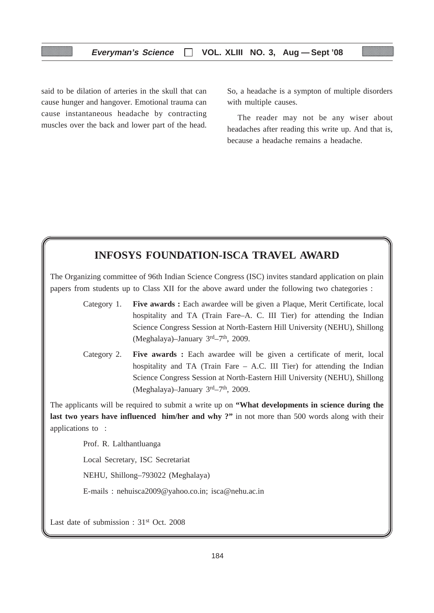said to be dilation of arteries in the skull that can cause hunger and hangover. Emotional trauma can cause instantaneous headache by contracting muscles over the back and lower part of the head. So, a headache is a sympton of multiple disorders with multiple causes.

The reader may not be any wiser about headaches after reading this write up. And that is, because a headache remains a headache.

# **INFOSYS FOUNDATION-ISCA TRAVEL AWARD**

The Organizing committee of 96th Indian Science Congress (ISC) invites standard application on plain papers from students up to Class XII for the above award under the following two chategories :

- Category 1. **Five awards :** Each awardee will be given a Plaque, Merit Certificate, local hospitality and TA (Train Fare–A. C. III Tier) for attending the Indian Science Congress Session at North-Eastern Hill University (NEHU), Shillong (Meghalaya)–January  $3<sup>rd</sup>–7<sup>th</sup>$ , 2009.
- Category 2. **Five awards :** Each awardee will be given a certificate of merit, local hospitality and TA (Train Fare – A.C. III Tier) for attending the Indian Science Congress Session at North-Eastern Hill University (NEHU), Shillong (Meghalaya)–January 3rd–7<sup>th</sup>, 2009.

The applicants will be required to submit a write up on **"What developments in science during the** last two years have influenced him/her and why ?" in not more than 500 words along with their applications to :

Prof. R. Lalthantluanga

Local Secretary, ISC Secretariat

NEHU, Shillong–793022 (Meghalaya)

E-mails : nehuisca2009@yahoo.co.in; isca@nehu.ac.in

Last date of submission : 31<sup>st</sup> Oct. 2008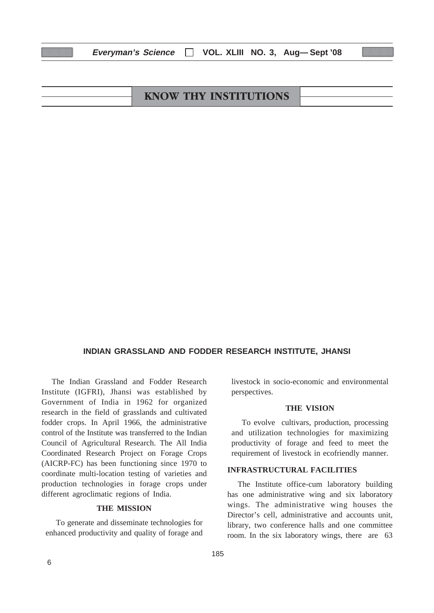| <b>KNOW THY INSTITUTIONS</b> |  |
|------------------------------|--|
|                              |  |

**Everyman's Science VOL. XLIII NO. 3, Aug— Sept '08**

# **INDIAN GRASSLAND AND FODDER RESEARCH INSTITUTE, JHANSI**

The Indian Grassland and Fodder Research Institute (IGFRI), Jhansi was established by Government of India in 1962 for organized research in the field of grasslands and cultivated fodder crops. In April 1966, the administrative control of the Institute was transferred to the Indian Council of Agricultural Research. The All India Coordinated Research Project on Forage Crops (AICRP-FC) has been functioning since 1970 to coordinate multi-location testing of varieties and production technologies in forage crops under different agroclimatic regions of India.

# **THE MISSION**

To generate and disseminate technologies for enhanced productivity and quality of forage and

livestock in socio-economic and environmental perspectives.

#### **THE VISION**

To evolve cultivars, production, processing and utilization technologies for maximizing productivity of forage and feed to meet the requirement of livestock in ecofriendly manner.

#### **INFRASTRUCTURAL FACILITIES**

The Institute office-cum laboratory building has one administrative wing and six laboratory wings. The administrative wing houses the Director's cell, administrative and accounts unit, library, two conference halls and one committee room. In the six laboratory wings, there are 63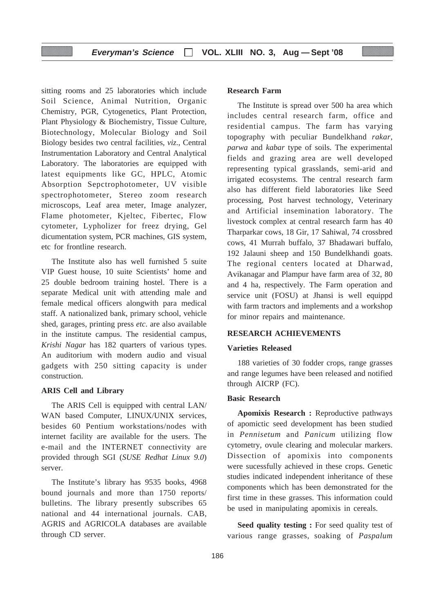sitting rooms and 25 laboratories which include Soil Science, Animal Nutrition, Organic Chemistry, PGR, Cytogenetics, Plant Protection, Plant Physiology & Biochemistry, Tissue Culture, Biotechnology, Molecular Biology and Soil Biology besides two central facilities, *viz*., Central Instrumentation Laboratory and Central Analytical Laboratory. The laboratories are equipped with latest equipments like GC, HPLC, Atomic Absorption Sepctrophotometer, UV visible spectrophotometer, Stereo zoom research microscops, Leaf area meter, Image analyzer, Flame photometer, Kjeltec, Fibertec, Flow cytometer, Lypholizer for freez drying, Gel dicumentation system, PCR machines, GIS system, etc for frontline research.

The Institute also has well furnished 5 suite VIP Guest house, 10 suite Scientists' home and 25 double bedroom training hostel. There is a separate Medical unit with attending male and female medical officers alongwith para medical staff. A nationalized bank, primary school, vehicle shed, garages, printing press *etc*. are also available in the institute campus. The residential campus, *Krishi Nagar* has 182 quarters of various types. An auditorium with modern audio and visual gadgets with 250 sitting capacity is under construction.

# **ARIS Cell and Library**

The ARIS Cell is equipped with central LAN/ WAN based Computer, LINUX/UNIX services, besides 60 Pentium workstations/nodes with internet facility are available for the users. The e-mail and the INTERNET connectivity are provided through SGI (*SUSE Redhat Linux 9.0*) server.

The Institute's library has 9535 books, 4968 bound journals and more than 1750 reports/ bulletins. The library presently subscribes 65 national and 44 international journals. CAB, AGRIS and AGRICOLA databases are available through CD server.

# **Research Farm**

The Institute is spread over 500 ha area which includes central research farm, office and residential campus. The farm has varying topography with peculiar Bundelkhand *rakar*, *parwa* and *kabar* type of soils. The experimental fields and grazing area are well developed representing typical grasslands, semi-arid and irrigated ecosystems. The central research farm also has different field laboratories like Seed processing, Post harvest technology, Veterinary and Artificial insemination laboratory. The livestock complex at central research farm has 40 Tharparkar cows, 18 Gir, 17 Sahiwal, 74 crossbred cows, 41 Murrah buffalo, 37 Bhadawari buffalo, 192 Jalauni sheep and 150 Bundelkhandi goats. The regional centers located at Dharwad, Avikanagar and Plampur have farm area of 32, 80 and 4 ha, respectively. The Farm operation and service unit (FOSU) at Jhansi is well equippd with farm tractors and implements and a workshop for minor repairs and maintenance.

#### **RESEARCH ACHIEVEMENTS**

#### **Varieties Released**

188 varieties of 30 fodder crops, range grasses and range legumes have been released and notified through AICRP (FC).

# **Basic Research**

**Apomixis Research :** Reproductive pathways of apomictic seed development has been studied in *Pennisetum* and *Panicum* utilizing flow cytometry, ovule clearing and molecular markers. Dissection of apomixis into components were sucessfully achieved in these crops. Genetic studies indicated independent inheritance of these components which has been demonstrated for the first time in these grasses. This information could be used in manipulating apomixis in cereals.

**Seed quality testing :** For seed quality test of various range grasses, soaking of *Paspalum*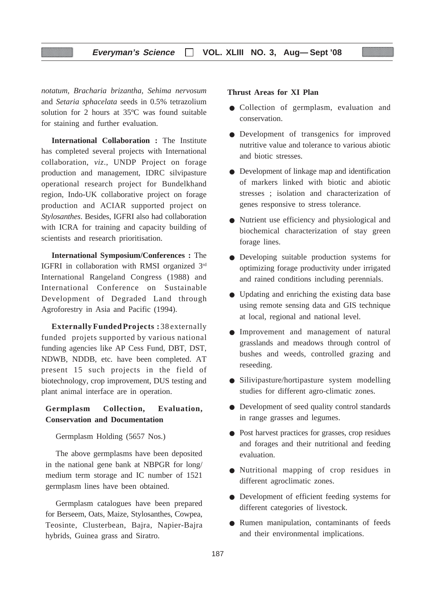# **Everyman's Science VOL. XLIII NO. 3, Aug— Sept '08**

*notatum, Bracharia brizantha, Sehima nervosum* and *Setaria sphacelata* seeds in 0.5% tetrazolium solution for 2 hours at 35ºC was found suitable for staining and further evaluation.

**International Collaboration :** The Institute has completed several projects with International collaboration, *viz*., UNDP Project on forage production and management, IDRC silvipasture operational research project for Bundelkhand region, Indo-UK collaborative project on forage production and ACIAR supported project on *Stylosanthes*. Besides, IGFRI also had collaboration with ICRA for training and capacity building of scientists and research prioritisation.

**International Symposium/Conferences :** The IGFRI in collaboration with RMSI organized 3rd International Rangeland Congress (1988) and International Conference on Sustainable Development of Degraded Land through Agroforestry in Asia and Pacific (1994).

**ExternallyFundedProjects :** 38externally funded projets supported by various national funding agencies like AP Cess Fund, DBT, DST, NDWB, NDDB, etc. have been completed. AT present 15 such projects in the field of biotechnology, crop improvement, DUS testing and plant animal interface are in operation.

# **Germplasm Collection, Evaluation, Conservation and Documentation**

## Germplasm Holding (5657 Nos.)

The above germplasms have been deposited in the national gene bank at NBPGR for long/ medium term storage and IC number of 1521 germplasm lines have been obtained.

Germplasm catalogues have been prepared for Berseem, Oats, Maize, Stylosanthes, Cowpea, Teosinte, Clusterbean, Bajra, Napier-Bajra hybrids, Guinea grass and Siratro.

# **Thrust Areas for XI Plan**

- Collection of germplasm, evaluation and conservation.
- Development of transgenics for improved nutritive value and tolerance to various abiotic and biotic stresses.
- Development of linkage map and identification of markers linked with biotic and abiotic stresses ; isolation and characterization of genes responsive to stress tolerance.
- Nutrient use efficiency and physiological and biochemical characterization of stay green forage lines.
- Developing suitable production systems for optimizing forage productivity under irrigated and rained conditions including perennials.
- Updating and enriching the existing data base using remote sensing data and GIS technique at local, regional and national level.
- Improvement and management of natural grasslands and meadows through control of bushes and weeds, controlled grazing and reseeding.
- Silivipasture/hortipasture system modelling studies for different agro-climatic zones.
- Development of seed quality control standards in range grasses and legumes.
- Post harvest practices for grasses, crop residues and forages and their nutritional and feeding evaluation.
- Nutritional mapping of crop residues in different agroclimatic zones.
- Development of efficient feeding systems for different categories of livestock.
- Rumen manipulation, contaminants of feeds and their environmental implications.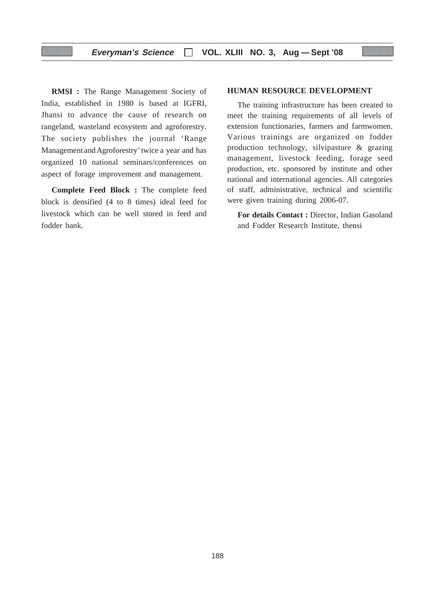**RMSI :** The Range Management Society of India, established in 1980 is based at IGFRI, Jhansi to advance the cause of research on rangeland, wasteland ecosystem and agroforestry. The society publishes the journal 'Range Management and Agroforestry' twice a year and has organized 10 national seminars/conferences on aspect of forage improvement and management.

**Complete Feed Block :** The complete feed block is densified (4 to 8 times) ideal feed for livestock which can be well stored in feed and fodder bank.

# **HUMAN RESOURCE DEVELOPMENT**

The training infrastructure has been created to meet the training requirements of all levels of extension functionaries, farmers and farmwomen. Various trainings are organized on fodder production technology, silvipasture & grazing management, livestock feeding, forage seed production, etc. sponsored by institute and other national and international agencies. All categories of staff, administrative, technical and scientific were given training during 2006-07.

**For details Contact :** Director, Indian Gasoland and Fodder Research Institute, thensi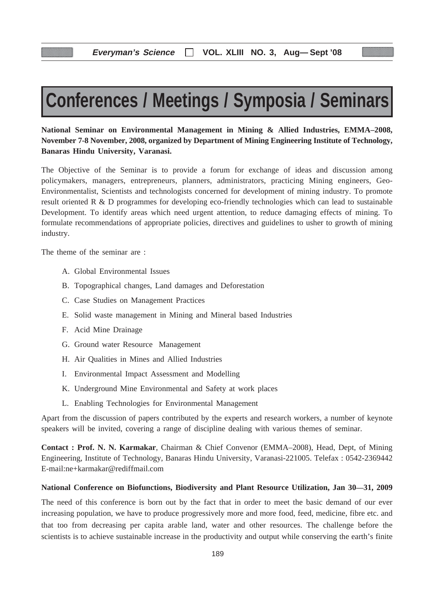# **Conferences / Meetings / Symposia / Seminars**

**National Seminar on Environmental Management in Mining & Allied Industries, EMMA–2008, November 7-8 November, 2008, organized by Department of Mining Engineering Institute of Technology, Banaras Hindu University, Varanasi.**

The Objective of the Seminar is to provide a forum for exchange of ideas and discussion among policymakers, managers, entrepreneurs, planners, administrators, practicing Mining engineers, Geo-Environmentalist, Scientists and technologists concerned for development of mining industry. To promote result oriented R & D programmes for developing eco-friendly technologies which can lead to sustainable Development. To identify areas which need urgent attention, to reduce damaging effects of mining. To formulate recommendations of appropriate policies, directives and guidelines to usher to growth of mining industry.

The theme of the seminar are :

- A. Global Environmental Issues
- B. Topographical changes, Land damages and Deforestation
- C. Case Studies on Management Practices
- E. Solid waste management in Mining and Mineral based Industries
- F. Acid Mine Drainage
- G. Ground water Resource Management
- H. Air Qualities in Mines and Allied Industries
- I. Environmental Impact Assessment and Modelling
- K. Underground Mine Environmental and Safety at work places
- L. Enabling Technologies for Environmental Management

Apart from the discussion of papers contributed by the experts and research workers, a number of keynote speakers will be invited, covering a range of discipline dealing with various themes of seminar.

**Contact : Prof. N. N. Karmakar**, Chairman & Chief Convenor (EMMA–2008), Head, Dept, of Mining Engineering, Institute of Technology, Banaras Hindu University, Varanasi-221005. Telefax : 0542-2369442 E-mail:ne+karmakar@rediffmail.com

#### **National Conference on Biofunctions, Biodiversity and Plant Resource Utilization, Jan 30—31, 2009**

The need of this conference is born out by the fact that in order to meet the basic demand of our ever increasing population, we have to produce progressively more and more food, feed, medicine, fibre etc. and that too from decreasing per capita arable land, water and other resources. The challenge before the scientists is to achieve sustainable increase in the productivity and output while conserving the earth's finite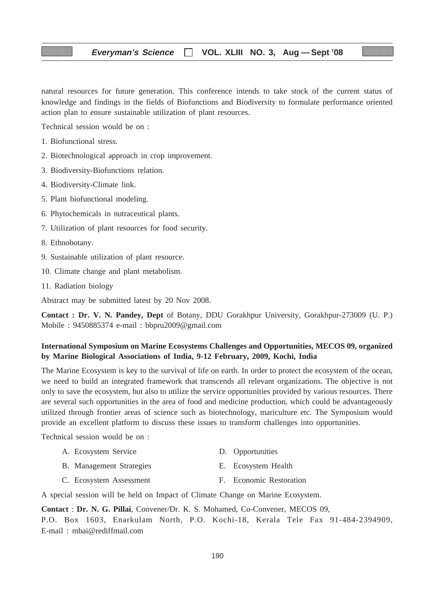# **Everyman's Science VOL. XLIII NO. 3, Aug — Sept '08**

natural resources for future generation. This conference intends to take stock of the current status of knowledge and findings in the fields of Biofunctions and Biodiversity to formulate performance oriented action plan to ensure sustainable utilization of plant resources.

Technical session would be on :

- 1. Biofunctional stress.
- 2. Biotechnological approach in crop improvement.
- 3. Biodiversity-Biofunctions relation.
- 4. Biodiversity-Climate link.
- 5. Plant biofunctional modeling.
- 6. Phytochemicals in nutraceutical plants.
- 7. Utilization of plant resources for food security.
- 8. Ethnobotany.
- 9. Sustainable utilization of plant resource.
- 10. Climate change and plant metabolism.
- 11. Radiation biology

Abstract may be submitted latest by 20 Nov 2008.

**Contact : Dr. V. N. Pandey, Dept** of Botany, DDU Gorakhpur University, Gorakhpur-273009 (U. P.) Mobile : 9450885374 e-mail : bbpru2009@gmail.com

# **International Symposium on Marine Ecosystems Challenges and Opportunities, MECOS 09, organized by Marine Biological Associations of India, 9-12 February, 2009, Kochi, India**

The Marine Ecosystem is key to the survival of life on earth. In order to protect the ecosystem of the ocean, we need to build an integrated framework that transcends all relevant organizations. The objective is not only to save the ecosystem, but also to utilize the service opportunities provided by various resources. There are several such opportunities in the area of food and medicine production, which could be advantageously utilized through frontier areas of science such as biotechnology, mariculture etc. The Symposium would provide an excellent platform to discuss these issues to transform challenges into opportunities.

Technical session would be on :

| A. Ecosystem Service            | D. Opportunities        |
|---------------------------------|-------------------------|
| <b>B.</b> Management Strategies | E. Ecosystem Health     |
| C. Ecosystem Assessment         | F. Economic Restoration |

A special session will be held on Impact of Climate Change on Marine Ecosystem.

**Contact** : **Dr. N. G. Pillai**, Convener/Dr. K. S. Mohamed, Co-Convener, MECOS 09, P.O. Box 1603, Enarkulam North, P.O. Kochi-18, Kerala Tele Fax 91-484-2394909, E-mail : mbai@rediffmail.com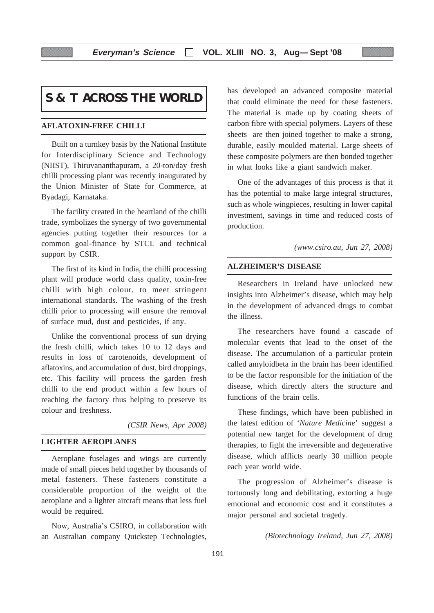# **S & T ACROSS THE WORLD**

# **AFLATOXIN-FREE CHILLI**

Built on a turnkey basis by the National Institute for Interdisciplinary Science and Technology (NIIST), Thiruvananthapuram, a 20-ton/day fresh chilli processing plant was recently inaugurated by the Union Minister of State for Commerce, at Byadagi, Karnataka.

The facility created in the heartland of the chilli trade, symbolizes the synergy of two governmental agencies putting together their resources for a common goal-finance by STCL and technical support by CSIR.

The first of its kind in India, the chilli processing plant will produce world class quality, toxin-free chilli with high colour, to meet stringent international standards. The washing of the fresh chilli prior to processing will ensure the removal of surface mud, dust and pesticides, if any.

Unlike the conventional process of sun drying the fresh chilli, which takes 10 to 12 days and results in loss of carotenoids, development of aflatoxins, and accumulation of dust, bird droppings, etc. This facility will process the garden fresh chilli to the end product within a few hours of reaching the factory thus helping to preserve its colour and freshness.

*(CSIR News, Apr 2008)*

# **LIGHTER AEROPLANES**

Aeroplane fuselages and wings are currently made of small pieces held together by thousands of metal fasteners. These fasteners constitute a considerable proportion of the weight of the aeroplane and a lighter aircraft means that less fuel would be required.

Now, Australia's CSIRO, in collaboration with an Australian company Quickstep Technologies, has developed an advanced composite material that could eliminate the need for these fasteners. The material is made up by coating sheets of carbon fibre with special polymers. Layers of these sheets are then joined together to make a strong, durable, easily moulded material. Large sheets of these composite polymers are then bonded together in what looks like a giant sandwich maker.

One of the advantages of this process is that it has the potential to make large integral structures, such as whole wingpieces, resulting in lower capital investment, savings in time and reduced costs of production.

*(www.csiro.au, Jun 27, 2008)*

# **ALZHEIMER'S DISEASE**

Researchers in Ireland have unlocked new insights into Alzheimer's disease, which may help in the development of advanced drugs to combat the illness.

The researchers have found a cascade of molecular events that lead to the onset of the disease. The accumulation of a particular protein called amyloidbeta in the brain has been identified to be the factor responsible for the initiation of the disease, which directly alters the structure and functions of the brain cells.

These findings, which have been published in the latest edition of '*Nature Medicine*' suggest a potential new target for the development of drug therapies, to fight the irreversible and degenerative disease, which afflicts nearly 30 million people each year world wide.

The progression of Alzheimer's disease is tortuously long and debilitating, extorting a huge emotional and economic cost and it constitutes a major personal and societal tragedy.

*(Biotechnology Ireland, Jun 27, 2008)*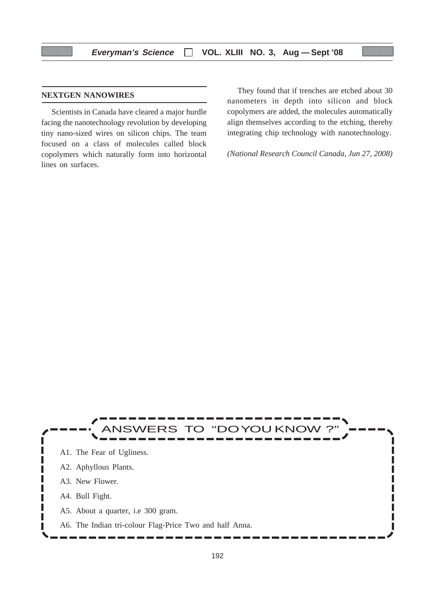# **NEXTGEN NANOWIRES**

Scientists in Canada have cleared a major hurdle facing the nanotechnology revolution by developing tiny nano-sized wires on silicon chips. The team focused on a class of molecules called block copolymers which naturally form into horizontal lines on surfaces.

They found that if trenches are etched about 30 nanometers in depth into silicon and block copolymers are added, the molecules automatically align themselves according to the etching, thereby integrating chip technology with nanotechnology.

*(National Research Council Canada, Jun 27, 2008)*

# **NSWERS TO "DOYOU KNOW** ı A1. The Fear of Ugliness. A2. Aphyllous Plants. ı A3. New Flower. A4. Bull Fight. L ı П A5. About a quarter, i.e 300 gram. Г A6. The Indian tri-colour Flag-Price Two and half Anna.I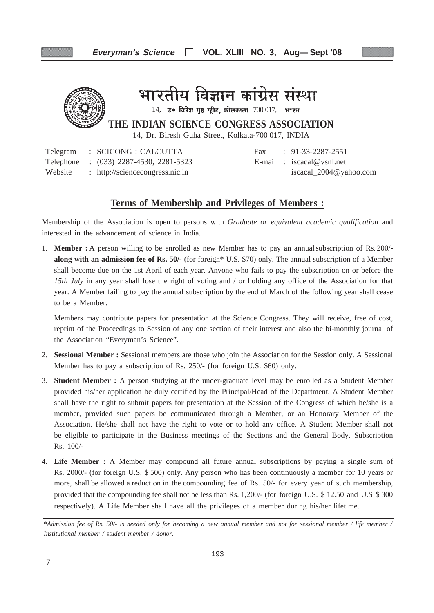

भारतीय विज्ञान कांग्रेस संस्था

 $14$ , उ० विरेश गुष्ठ स्ट्रीट, कोलकाता  $700017$ , भारत

**THE INDIAN SCIENCE CONGRESS ASSOCIATION**

14, Dr. Biresh Guha Street, Kolkata-700 017, INDIA

Telegram : SCICONG : CALCUTTA Fax : 91-33-2287-2551 Telephone : (033) 2287-4530, 2281-5323 E-mail : iscacal@vsnl.net Website : http://sciencecongress.nic.in iscacal\_2004@yahoo.com

# **Terms of Membership and Privileges of Members :**

Membership of the Association is open to persons with *Graduate or equivalent academic qualification* and interested in the advancement of science in India.

1. **Member :** A person willing to be enrolled as new Member has to pay an annualsubscription of Rs. 200/ **along with an admission fee of Rs. 50/-** (for foreign\* U.S. \$70) only. The annual subscription of a Member shall become due on the 1st April of each year. Anyone who fails to pay the subscription on or before the *15th July* in any year shall lose the right of voting and / or holding any office of the Association for that year. A Member failing to pay the annual subscription by the end of March of the following year shall cease to be a Member.

Members may contribute papers for presentation at the Science Congress. They will receive, free of cost, reprint of the Proceedings to Session of any one section of their interest and also the bi-monthly journal of the Association "Everyman's Science".

- 2. **Sessional Member :** Sessional members are those who join the Association for the Session only. A Sessional Member has to pay a subscription of Rs. 250/- (for foreign U.S. \$60) only.
- 3. **Student Member :** A person studying at the under-graduate level may be enrolled as a Student Member provided his/her application be duly certified by the Principal/Head of the Department. A Student Member shall have the right to submit papers for presentation at the Session of the Congress of which he/she is a member, provided such papers be communicated through a Member, or an Honorary Member of the Association. He/she shall not have the right to vote or to hold any office. A Student Member shall not be eligible to participate in the Business meetings of the Sections and the General Body. Subscription Rs. 100/-
- 4. **Life Member :** A Member may compound all future annual subscriptions by paying a single sum of Rs. 2000/- (for foreign U.S. \$ 500) only. Any person who has been continuously a member for 10 years or more, shall be allowed a reduction in the compounding fee of Rs. 50/- for every year of such membership, provided that the compounding fee shall not be less than Rs. 1,200/- (for foreign U.S. \$ 12.50 and U.S \$ 300 respectively). A Life Member shall have all the privileges of a member during his/her lifetime.

<sup>\*</sup>*Admission fee of Rs. 50/- is needed only for becoming a new annual member and not for sessional member / life member / Institutional member / student member / donor.*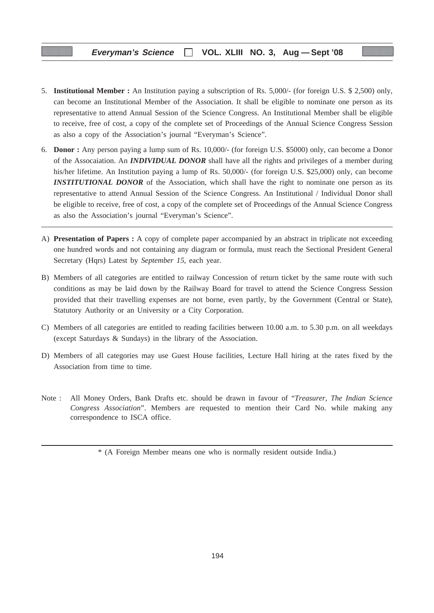- 5. **Institutional Member :** An Institution paying a subscription of Rs. 5,000/- (for foreign U.S. \$ 2,500) only, can become an Institutional Member of the Association. It shall be eligible to nominate one person as its representative to attend Annual Session of the Science Congress. An Institutional Member shall be eligible to receive, free of cost, a copy of the complete set of Proceedings of the Annual Science Congress Session as also a copy of the Association's journal "Everyman's Science".
- 6. **Donor :** Any person paying a lump sum of Rs. 10,000/- (for foreign U.S. \$5000) only, can become a Donor of the Assocaiation. An *INDIVIDUAL DONOR* shall have all the rights and privileges of a member during his/her lifetime. An Institution paying a lump of Rs. 50,000/- (for foreign U.S. \$25,000) only, can become **INSTITUTIONAL DONOR** of the Association, which shall have the right to nominate one person as its representative to attend Annual Session of the Science Congress. An Institutional / Individual Donor shall be eligible to receive, free of cost, a copy of the complete set of Proceedings of the Annual Science Congress as also the Association's journal "Everyman's Science".
- A) **Presentation of Papers :** A copy of complete paper accompanied by an abstract in triplicate not exceeding one hundred words and not containing any diagram or formula, must reach the Sectional President General Secretary (Hqrs) Latest by *September 15*, each year.
- B) Members of all categories are entitled to railway Concession of return ticket by the same route with such conditions as may be laid down by the Railway Board for travel to attend the Science Congress Session provided that their travelling expenses are not borne, even partly, by the Government (Central or State), Statutory Authority or an University or a City Corporation.
- C) Members of all categories are entitled to reading facilities between 10.00 a.m. to 5.30 p.m. on all weekdays (except Saturdays & Sundays) in the library of the Association.
- D) Members of all categories may use Guest House facilities, Lecture Hall hiring at the rates fixed by the Association from time to time.
- Note : All Money Orders, Bank Drafts etc. should be drawn in favour of "*Treasurer, The Indian Science Congress Association*". Members are requested to mention their Card No. while making any correspondence to ISCA office.

<sup>\* (</sup>A Foreign Member means one who is normally resident outside India.)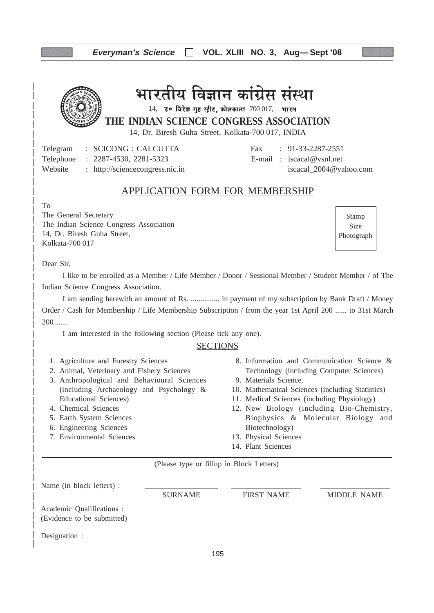# **Everyman's Science VOL. XLIII NO. 3, Aug— Sept '08**



भारतीय विज्ञान कांग्रेस संस्था

**THE INDIAN SCIENCE CONGRESS ASSOCIATION**  $14$ , उ० विरेश गुष्ठ स्ट्रीट, कोलकाता  $700017$ , भारत

14, Dr. Biresh Guha Street, Kolkata-700 017, INDIA

Telegram : SCICONG : CALCUTTA Fax : 91-33-2287-2551 Telephone : 2287-4530, 2281-5323 E-mail : iscacal@vsnl.net Website : http://sciencecongress.nic.in iscacal\_2004@yahoo.com

# APPLICATION FORM FOR MEMBERSHIP

To

The General Secretary The Indian Science Congress Association 14, Dr. Biresh Guha Street, Kolkata-700 017

Stamp Size Photograph

Dear Sir,

I like to be enrolled as a Member / Life Member / Donor / Sessional Member / Student Member / of The Indian Science Congress Association.

I am sending herewith an amount of Rs. ............... in payment of my subscription by Bank Draft / Money Order / Cash for Membership / Life Membership Subscription / from the year 1st April 200 ...... to 31st March 200 ......

I am interested in the following section (Please tick any one).

# **SECTIONS**

- 1. Agriculture and Forestry Sciences
- 2. Animal, Veterinary and Fishery Sciences
- 3. Anthropological and Behavioural Sciences (including Archaeology and Psychology & Educational Sciences)
- 4. Chemical Sciences
- 5. Earth System Sciences
- 6. Engineering Sciences
- 7. Environmental Sciences
- 8. Information and Communication Science & Technology (including Computer Sciences)
- 9. Materials Science.
- 10. Mathematical Sciences (including Statistics)
- 11. Medical Sciences (including Physiology)
- 12. New Biology (including Bio-Chemistry, Biophysics & Molecular Biology and Biotechnology)
- 13. Physical Sciences
- 14. Plant Sciences

(Please type or fillup in Block Letters)

Name (in block letters) :

Academic Qualifications : (Evidence to be submitted)

SURNAME FIRST NAME MIDDLE NAME

Designation :